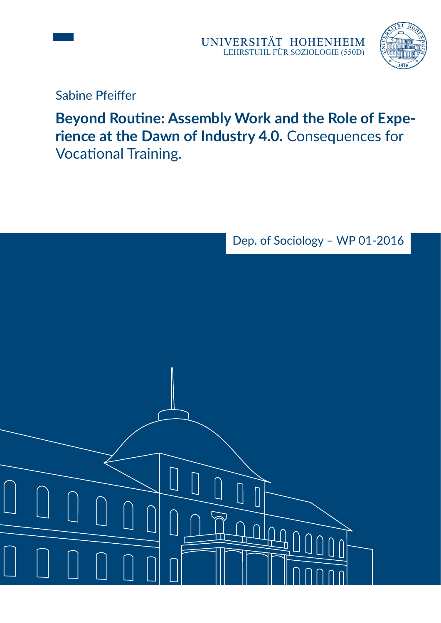



Sabine Pfeiffer

**Beyond Routine: Assembly Work and the Role of Expe**der und Dawn binnunsuly 4.0. Com.<br>Vocational Training **rience at the Dawn of Industry 4.0.** Consequences for Vocational Training.

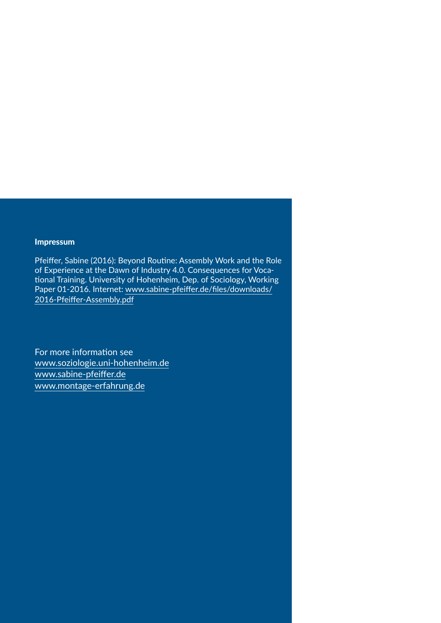#### Impressum

Pfeiffer, Sabine (2016): Beyond Routine: Assembly Work and the Role of Experience at the Dawn of Industry 4.0. Consequences for Voca tional Training. University of Hohenheim, Dep. of Sociology, Working [Paper 01-2016. Internet: www.sabine-pfeiffer.de/files/downloads/](http://www.sabine-pfeiffer.de/files/downloads/2016-Pfeiffer-Assembly.pdf) 2016-Pfeiffer-Assembly.pdf

For more information see [www.soziologie.uni-hohenheim.de](http://www.soziologie.uni-hohenheim.de) [www.sabine-pfeiffer.de](http://www.sabine-pfeiffer.de) [www.montage-erfahrung.de](http://www.montage-erfahrung.de)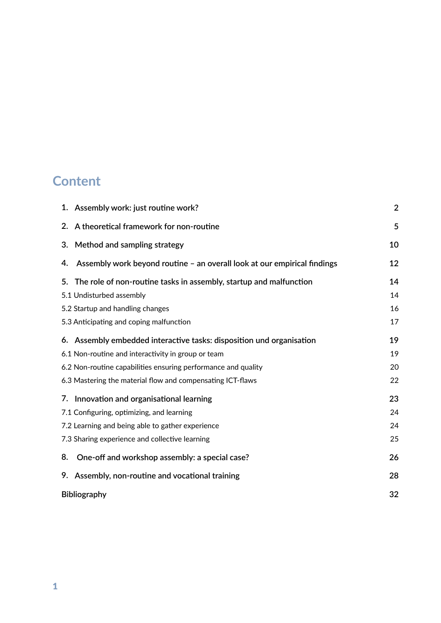# **Content**

| 1. Assembly work: just routine work?                                           | $\overline{2}$ |
|--------------------------------------------------------------------------------|----------------|
| 2. A theoretical framework for non-routine                                     | 5              |
| Method and sampling strategy<br>3.                                             | 10             |
| Assembly work beyond routine - an overall look at our empirical findings<br>4. | 12             |
| The role of non-routine tasks in assembly, startup and malfunction<br>5.       | 14             |
| 5.1 Undisturbed assembly                                                       | 14             |
| 5.2 Startup and handling changes                                               | 16             |
| 5.3 Anticipating and coping malfunction                                        | 17             |
| 6. Assembly embedded interactive tasks: disposition und organisation           | 19             |
| 6.1 Non-routine and interactivity in group or team                             | 19             |
| 6.2 Non-routine capabilities ensuring performance and quality                  | 20             |
| 6.3 Mastering the material flow and compensating ICT-flaws                     | 22             |
| Innovation and organisational learning<br>7.                                   | 23             |
| 7.1 Configuring, optimizing, and learning                                      | 24             |
| 7.2 Learning and being able to gather experience                               | 24             |
| 7.3 Sharing experience and collective learning                                 | 25             |
| 8.<br>One-off and workshop assembly: a special case?                           | 26             |
| 9. Assembly, non-routine and vocational training                               | 28             |
| <b>Bibliography</b>                                                            | 32             |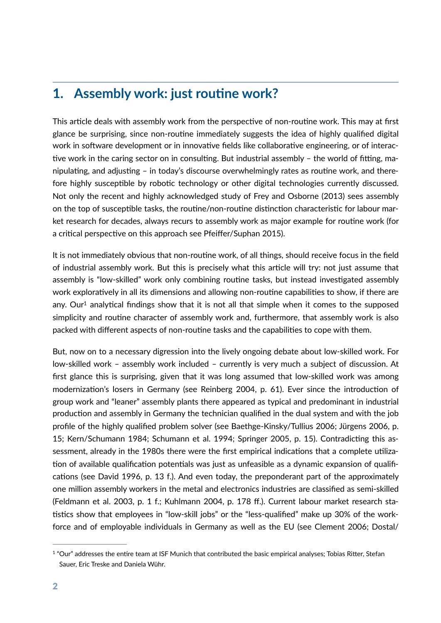## **1. Assembly work: just routine work?**

This article deals with assembly work from the perspective of non-routine work. This may at first glance be surprising, since non-routine immediately suggests the idea of highly qualified digital work in software development or in innovative fields like collaborative engineering, or of interactive work in the caring sector on in consulting. But industrial assembly  $-$  the world of fitting, manipulating, and adjusting – in today's discourse overwhelmingly rates as routine work, and therefore highly susceptible by robotic technology or other digital technologies currently discussed. Not only the recent and highly acknowledged study of Frey and Osborne (2013) sees assembly on the top of susceptible tasks, the routine/non-routine distinction characteristic for labour market research for decades, always recurs to assembly work as major example for routine work (for a critical perspective on this approach see Pfeiffer/Suphan 2015).

It is not immediately obvious that non-routine work, of all things, should receive focus in the field of industrial assembly work. But this is precisely what this article will try: not just assume that assembly is "low-skilled" work only combining routine tasks, but instead investigated assembly work exploratively in all its dimensions and allowing non-routine capabilities to show, if there are any. Ou[r](#page-3-0)<sup>[1](#page-3-0)</sup> analytical findings show that it is not all that simple when it comes to the supposed simplicity and routine character of assembly work and, furthermore, that assembly work is also packed with different aspects of non-routine tasks and the capabilities to cope with them.

<span id="page-3-1"></span>But, now on to a necessary digression into the lively ongoing debate about low-skilled work. For low-skilled work – assembly work included – currently is very much a subject of discussion. At first glance this is surprising, given that it was long assumed that low-skilled work was among modernization's losers in Germany (see Reinberg 2004, p. 61). Ever since the introduction of group work and "leaner" assembly plants there appeared as typical and predominant in industrial production and assembly in Germany the technician qualified in the dual system and with the job profile of the highly qualified problem solver (see Baethge-Kinsky/Tullius 2006; Jürgens 2006, p. 15; Kern/Schumann 1984; Schumann et al. 1994; Springer 2005, p. 15). Contradicting this assessment, already in the 1980s there were the first empirical indications that a complete utilization of available qualification potentials was just as unfeasible as a dynamic expansion of qualifications (see David 1996, p. 13 f.). And even today, the preponderant part of the approximately one million assembly workers in the metal and electronics industries are classified as semi-skilled (Feldmann et al. 2003, p. 1 f.; Kuhlmann 2004, p. 178 ff.). Current labour market research sta tistics show that employees in "low-skill jobs" or the "less-qualified" make up 30% of the workforce and of employable individuals in Germany as well as the EU (see Clement 2006; Dostal/

<span id="page-3-0"></span> $1$  "Our" addresses the entire team at ISF Munich that contributed the basic empirical analyses; Tobias Ritter, Stefan Sauer, Eric Treske and Daniela Wühr.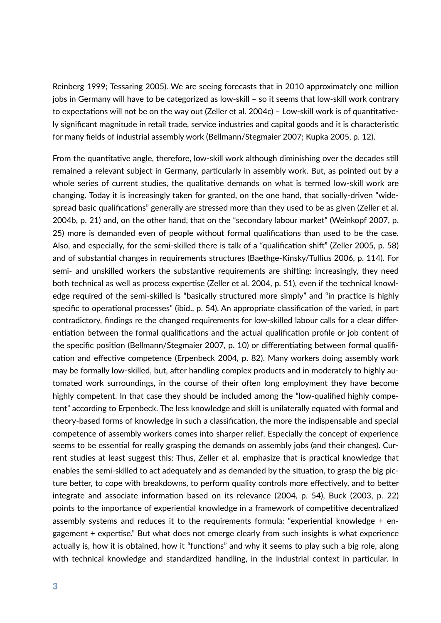Reinberg 1999; Tessaring 2005). We are seeing forecasts that in 2010 approximately one million jobs in Germany will have to be categorized as low-skill – so it seems that low-skill work contrary to expectations will not be on the way out (Zeller et al. 2004c) – Low-skill work is of quantitatively significant magnitude in retail trade, service industries and capital goods and it is characteristic for many fields of industrial assembly work (Bellmann/Stegmaier 2007; Kupka 2005, p. 12).

From the quantitative angle, therefore, low-skill work although diminishing over the decades still remained a relevant subject in Germany, particularly in assembly work. But, as pointed out by a whole series of current studies, the qualitative demands on what is termed low-skill work are changing. Today it is increasingly taken for granted, on the one hand, that socially-driven "widespread basic qualifications" generally are stressed more than they used to be as given (Zeller et al. 2004b, p. 21) and, on the other hand, that on the "secondary labour market" (Weinkopf 2007, p. 25) more is demanded even of people without formal qualifications than used to be the case. Also, and especially, for the semi-skilled there is talk of a "qualification shift" (Zeller 2005, p. 58) and of substantial changes in requirements structures (Baethge-Kinsky/Tullius 2006, p. 114). For semi- and unskilled workers the substantive requirements are shifting: increasingly, they need both technical as well as process expertise (Zeller et al. 2004, p. 51), even if the technical knowledge required of the semi-skilled is "basically structured more simply" and "in practice is highly specific to operational processes" (ibid., p. 54). An appropriate classification of the varied, in part contradictory, findings re the changed requirements for low-skilled labour calls for a clear differentiation between the formal qualifications and the actual qualification profile or job content of the specific position (Bellmann/Stegmaier 2007, p. 10) or differentiating between formal qualification and effective competence (Erpenbeck 2004, p. 82). Many workers doing assembly work may be formally low-skilled, but, after handling complex products and in moderately to highly automated work surroundings, in the course of their often long employment they have become highly competent. In that case they should be included among the "low-qualified highly competent" according to Erpenbeck. The less knowledge and skill is unilaterally equated with formal and theory-based forms of knowledge in such a classification, the more the indispensable and special competence of assembly workers comes into sharper relief. Especially the concept of experience seems to be essential for really grasping the demands on assembly jobs (and their changes). Current studies at least suggest this: Thus, Zeller et al. emphasize that is practical knowledge that enables the semi-skilled to act adequately and as demanded by the situation, to grasp the big picture better, to cope with breakdowns, to perform quality controls more effectively, and to better integrate and associate information based on its relevance (2004, p. 54), Buck (2003, p. 22) points to the importance of experiential knowledge in a framework of competitive decentralized assembly systems and reduces it to the requirements formula: "experiential knowledge + engagement  $+$  expertise." But what does not emerge clearly from such insights is what experience actually is, how it is obtained, how it "functions" and why it seems to play such a big role, along with technical knowledge and standardized handling, in the industrial context in particular. In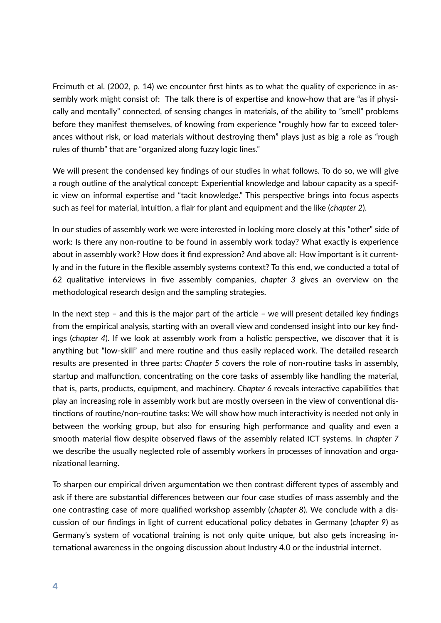Freimuth et al. (2002, p. 14) we encounter first hints as to what the quality of experience in assembly work might consist of: The talk there is of expertise and know-how that are "as if physically and mentally" connected, of sensing changes in materials, of the ability to "smell" problems before they manifest themselves, of knowing from experience "roughly how far to exceed tolerances without risk, or load materials without destroying them" plays just as big a role as "rough rules of thumb" that are "organized along fuzzy logic lines."

We will present the condensed key findings of our studies in what follows. To do so, we will give a rough outline of the analytical concept: Experiential knowledge and labour capacity as a specific view on informal expertise and "tacit knowledge." This perspective brings into focus aspects such as feel for material, intuition, a flair for plant and equipment and the like (*chapter 2*).

In our studies of assembly work we were interested in looking more closely at this "other" side of work: Is there any non-routine to be found in assembly work today? What exactly is experience about in assembly work? How does it find expression? And above all: How important is it currently and in the future in the flexible assembly systems context? To this end, we conducted a total of 62 qualitative interviews in five assembly companies, *chapter 3* gives an overview on the methodological research design and the sampling strategies.

In the next step - and this is the major part of the article - we will present detailed key findings from the empirical analysis, starting with an overall view and condensed insight into our key findings (*chapter 4*). If we look at assembly work from a holistic perspective, we discover that it is anything but "low-skill" and mere routine and thus easily replaced work. The detailed research results are presented in three parts: *Chapter 5* covers the role of non-routine tasks in assembly, startup and malfunction, concentrating on the core tasks of assembly like handling the material, that is, parts, products, equipment, and machinery. *Chapter 6* reveals interactive capabilities that play an increasing role in assembly work but are mostly overseen in the view of conventional distinctions of routine/non-routine tasks: We will show how much interactivity is needed not only in between the working group, but also for ensuring high performance and quality and even a smooth material flow despite observed flaws of the assembly related ICT systems. In *chapter 7* we describe the usually neglected role of assembly workers in processes of innovation and organizational learning.

To sharpen our empirical driven argumentation we then contrast different types of assembly and ask if there are substantial differences between our four case studies of mass assembly and the one contrasting case of more qualified workshop assembly (*chapter 8*). We conclude with a discussion of our findings in light of current educational policy debates in Germany (*chapter 9*) as Germany's system of vocational training is not only quite unique, but also gets increasing international awareness in the ongoing discussion about Industry 4.0 or the industrial internet.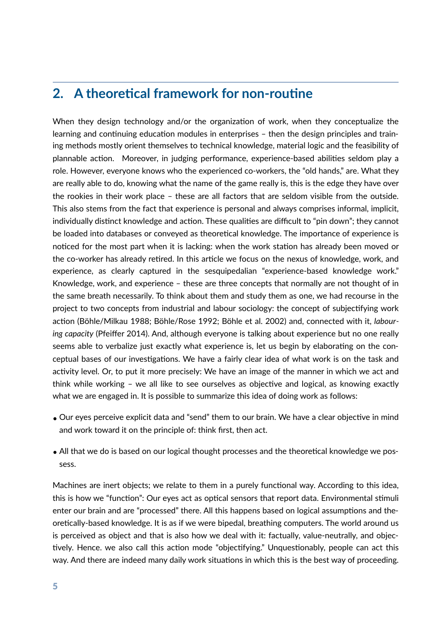## **2.** A theoretical framework for non-routine

When they design technology and/or the organization of work, when they conceptualize the learning and continuing education modules in enterprises – then the design principles and training methods mostly orient themselves to technical knowledge, material logic and the feasibility of plannable action. Moreover, in judging performance, experience-based abilities seldom play a role. However, everyone knows who the experienced co-workers, the "old hands," are. What they are really able to do, knowing what the name of the game really is, this is the edge they have over the rookies in their work place – these are all factors that are seldom visible from the outside. This also stems from the fact that experience is personal and always comprises informal, implicit, individually distinct knowledge and action. These qualities are difficult to "pin down"; they cannot be loaded into databases or conveyed as theoretical knowledge. The importance of experience is noticed for the most part when it is lacking: when the work station has already been moved or the co-worker has already retired. In this article we focus on the nexus of knowledge, work, and experience, as clearly captured in the sesquipedalian "experience-based knowledge work." Knowledge, work, and experience – these are three concepts that normally are not thought of in the same breath necessarily. To think about them and study them as one, we had recourse in the project to two concepts from industrial and labour sociology: the concept of subjectifying work action (Böhle/Milkau 1988; Böhle/Rose 1992; Böhle et al. 2002) and, connected with it, *labouring capacity* (Pfeiffer 2014). And, although everyone is talking about experience but no one really seems able to verbalize just exactly what experience is, let us begin by elaborating on the conceptual bases of our investigations. We have a fairly clear idea of what work is on the task and activity level. Or, to put it more precisely: We have an image of the manner in which we act and think while working  $-$  we all like to see ourselves as objective and logical, as knowing exactly what we are engaged in. It is possible to summarize this idea of doing work as follows:

- Our eyes perceive explicit data and "send" them to our brain. We have a clear objective in mind and work toward it on the principle of: think first, then act.
- All that we do is based on our logical thought processes and the theoretical knowledge we possess.

Machines are inert objects; we relate to them in a purely functional way. According to this idea, this is how we "function": Our eyes act as optical sensors that report data. Environmental stimuli enter our brain and are "processed" there. All this happens based on logical assumptions and theoretically-based knowledge. It is as if we were bipedal, breathing computers. The world around us is perceived as object and that is also how we deal with it: factually, value-neutrally, and objec tively. Hence, we also call this action mode "objectifying." Unquestionably, people can act this way. And there are indeed many daily work situations in which this is the best way of proceeding.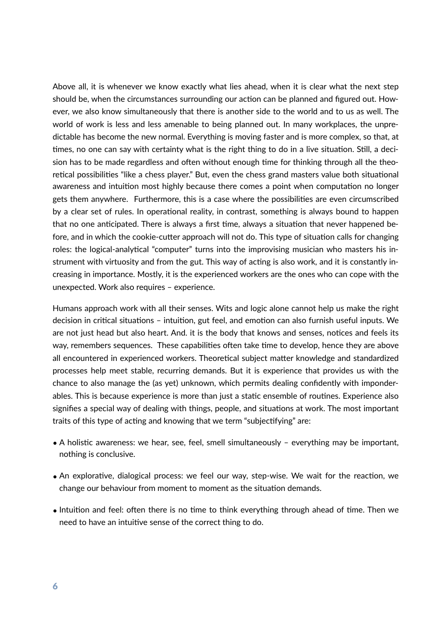Above all, it is whenever we know exactly what lies ahead, when it is clear what the next step should be, when the circumstances surrounding our action can be planned and figured out. However, we also know simultaneously that there is another side to the world and to us as well. The world of work is less and less amenable to being planned out. In many workplaces, the unpredictable has become the new normal. Everything is moving faster and is more complex, so that, at times, no one can say with certainty what is the right thing to do in a live situation. Still, a decision has to be made regardless and often without enough time for thinking through all the theoretical possibilities "like a chess player." But, even the chess grand masters value both situational awareness and intuition most highly because there comes a point when computation no longer gets them anywhere. Furthermore, this is a case where the possibilities are even circumscribed by a clear set of rules. In operational reality, in contrast, something is always bound to happen that no one anticipated. There is always a first time, always a situation that never happened before, and in which the cookie-cutter approach will not do. This type of situation calls for changing roles: the logical-analytical "computer" turns into the improvising musician who masters his instrument with virtuosity and from the gut. This way of acting is also work, and it is constantly increasing in importance. Mostly, it is the experienced workers are the ones who can cope with the unexpected. Work also requires – experience.

Humans approach work with all their senses. Wits and logic alone cannot help us make the right decision in critical situations - intuition, gut feel, and emotion can also furnish useful inputs. We are not just head but also heart. And. it is the body that knows and senses, notices and feels its way, remembers sequences. These capabilities often take time to develop, hence they are above all encountered in experienced workers. Theoretical subject matter knowledge and standardized processes help meet stable, recurring demands. But it is experience that provides us with the chance to also manage the (as yet) unknown, which permits dealing confidently with imponderables. This is because experience is more than just a static ensemble of routines. Experience also signifies a special way of dealing with things, people, and situations at work. The most important traits of this type of acting and knowing that we term "subjectifying" are:

- A holistic awareness: we hear, see, feel, smell simultaneously everything may be important, nothing is conclusive.
- An explorative, dialogical process: we feel our way, step-wise. We wait for the reaction, we change our behaviour from moment to moment as the situation demands.
- Intuition and feel: often there is no time to think everything through ahead of time. Then we need to have an intuitive sense of the correct thing to do.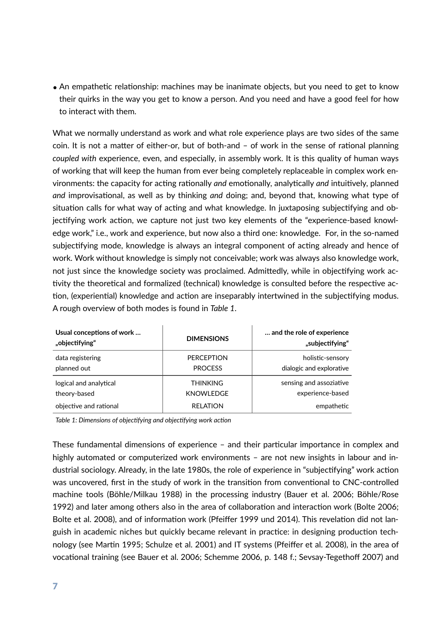$\bullet$  An empathetic relationship: machines may be inanimate objects, but you need to get to know their quirks in the way you get to know a person. And you need and have a good feel for how to interact with them.

What we normally understand as work and what role experience plays are two sides of the same coin. It is not a matter of either-or, but of both-and  $-$  of work in the sense of rational planning *coupled with* experience, even, and especially, in assembly work. It is this quality of human ways of working that will keep the human from ever being completely replaceable in complex work environments: the capacity for acting rationally *and* emotionally, analytically *and* intuitively, planned and improvisational, as well as by thinking and doing; and, beyond that, knowing what type of situation calls for what way of acting and what knowledge. In juxtaposing subjectifying and objectifying work action, we capture not just two key elements of the "experience-based knowledge work," i.e., work and experience, but now also a third one: knowledge. For, in the so-named subjectifying mode, knowledge is always an integral component of acting already and hence of work. Work without knowledge is simply not conceivable; work was always also knowledge work, not just since the knowledge society was proclaimed. Admittedly, while in objectifying work activity the theoretical and formalized (technical) knowledge is consulted before the respective action, (experiential) knowledge and action are inseparably intertwined in the subjectifying modus. A rough overview of both modes is found in *Table 1*.

| Usual conceptions of work<br>"objectifying" | <b>DIMENSIONS</b> | and the role of experience<br>"subjectifying" |
|---------------------------------------------|-------------------|-----------------------------------------------|
| data registering                            | <b>PERCEPTION</b> | holistic-sensory                              |
| planned out                                 | <b>PROCESS</b>    | dialogic and explorative                      |
| logical and analytical                      | <b>THINKING</b>   | sensing and assoziative                       |
| theory-based                                | <b>KNOWLEDGE</b>  | experience-based                              |
| objective and rational                      | <b>RELATION</b>   | empathetic                                    |

Table 1: Dimensions of objectifying and objectifying work action

These fundamental dimensions of experience  $-$  and their particular importance in complex and highly automated or computerized work environments - are not new insights in labour and industrial sociology. Already, in the late 1980s, the role of experience in "subjectifying" work action was uncovered, first in the study of work in the transition from conventional to CNC-controlled machine tools (Böhle/Milkau 1988) in the processing industry (Bauer et al. 2006; Böhle/Rose 1992) and later among others also in the area of collaboration and interaction work (Bolte 2006; Bolte et al. 2008), and of information work (Pfeiffer 1999 und 2014). This revelation did not languish in academic niches but quickly became relevant in practice: in designing production technology (see Martin 1995; Schulze et al. 2001) and IT systems (Pfeiffer et al. 2008), in the area of vocational training (see Bauer et al. 2006; Schemme 2006, p. 148 f.; Sevsay-Tegethoff 2007) and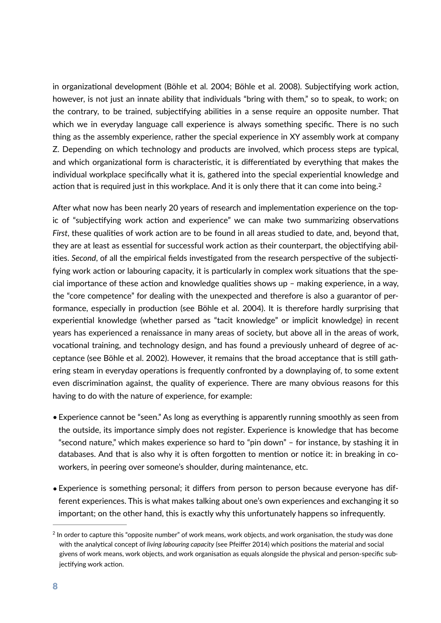in organizational development (Böhle et al. 2004; Böhle et al. 2008). Subjectifying work action, however, is not just an innate ability that individuals "bring with them," so to speak, to work; on the contrary, to be trained, subjectifying abilities in a sense require an opposite number. That which we in everyday language call experience is always something specific. There is no such thing as the assembly experience, rather the special experience in XY assembly work at company Z. Depending on which technology and products are involved, which process steps are typical, and which organizational form is characteristic, it is differentiated by everything that makes the individual workplace specifically what it is, gathered into the special experiential knowledge and action that is required just in this workplace. And it is only there that it can come into being.<sup>2</sup>

<span id="page-9-1"></span>After what now has been nearly 20 years of research and implementation experience on the topic of "subjectifying work action and experience" we can make two summarizing observations *First*, these qualities of work action are to be found in all areas studied to date, and, beyond that, they are at least as essential for successful work action as their counterpart, the objectifying abilities. Second, of all the empirical fields investigated from the research perspective of the subjectifying work action or labouring capacity, it is particularly in complex work situations that the special importance of these action and knowledge qualities shows up - making experience, in a way, the "core competence" for dealing with the unexpected and therefore is also a guarantor of performance, especially in production (see Böhle et al. 2004). It is therefore hardly surprising that experiential knowledge (whether parsed as "tacit knowledge" or implicit knowledge) in recent years has experienced a renaissance in many areas of society, but above all in the areas of work, vocational training, and technology design, and has found a previously unheard of degree of acceptance (see Böhle et al. 2002). However, it remains that the broad acceptance that is still gathering steam in everyday operations is frequently confronted by a downplaying of, to some extent even discrimination against, the quality of experience. There are many obvious reasons for this having to do with the nature of experience, for example:

- Experience cannot be "seen." As long as everything is apparently running smoothly as seen from the outside, its importance simply does not register. Experience is knowledge that has become "second nature," which makes experience so hard to "pin down" – for instance, by stashing it in databases. And that is also why it is often forgotten to mention or notice it: in breaking in coworkers, in peering over someone's shoulder, during maintenance, etc.
- Experience is something personal; it differs from person to person because everyone has different experiences. This is what makes talking about one's own experiences and exchanging it so important; on the other hand, this is exactly why this unfortunately happens so infrequently.

<span id="page-9-0"></span> $2$  In order to capture this "opposite number" of work means, work objects, and work organisation, the study was done with the analytical concept of *living labouring capacity* (see Pfeiffer 2014) which positions the material and social givens of work means, work objects, and work organisation as equals alongside the physical and person-specific subjectifying work action.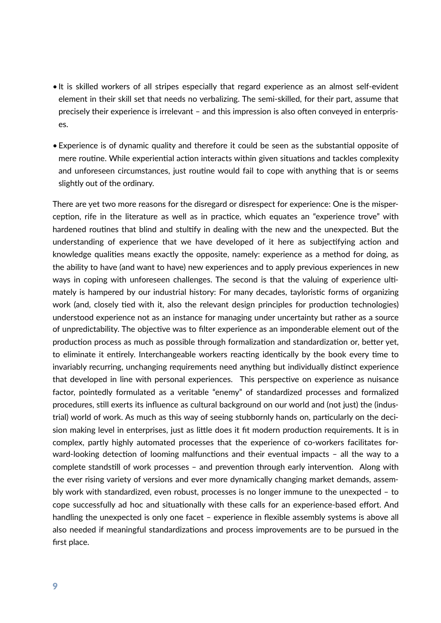- It is skilled workers of all stripes especially that regard experience as an almost self-evident element in their skill set that needs no verbalizing. The semi-skilled, for their part, assume that precisely their experience is irrelevant – and this impression is also often conveyed in enterprises.
- Experience is of dynamic quality and therefore it could be seen as the substantial opposite of mere routine. While experiential action interacts within given situations and tackles complexity and unforeseen circumstances, just routine would fail to cope with anything that is or seems slightly out of the ordinary.

There are yet two more reasons for the disregard or disrespect for experience: One is the misperception, rife in the literature as well as in practice, which equates an "experience trove" with hardened routines that blind and stultify in dealing with the new and the unexpected. But the understanding of experience that we have developed of it here as subjectifying action and knowledge qualities means exactly the opposite, namely: experience as a method for doing, as the ability to have (and want to have) new experiences and to apply previous experiences in new ways in coping with unforeseen challenges. The second is that the valuing of experience ultimately is hampered by our industrial history: For many decades, tayloristic forms of organizing work (and, closely tied with it, also the relevant design principles for production technologies) understood experience not as an instance for managing under uncertainty but rather as a source of unpredictability. The objective was to filter experience as an imponderable element out of the production process as much as possible through formalization and standardization or, better yet, to eliminate it entirely. Interchangeable workers reacting identically by the book every time to invariably recurring, unchanging requirements need anything but individually distinct experience that developed in line with personal experiences. This perspective on experience as nuisance factor, pointedly formulated as a veritable "enemy" of standardized processes and formalized procedures, still exerts its influence as cultural background on our world and (not just) the (industrial) world of work. As much as this way of seeing stubbornly hands on, particularly on the decision making level in enterprises, just as little does it fit modern production requirements. It is in complex, partly highly automated processes that the experience of co-workers facilitates forward-looking detection of looming malfunctions and their eventual impacts  $-$  all the way to a complete standstill of work processes - and prevention through early intervention. Along with the ever rising variety of versions and ever more dynamically changing market demands, assembly work with standardized, even robust, processes is no longer immune to the unexpected – to cope successfully ad hoc and situationally with these calls for an experience-based effort. And handling the unexpected is only one facet - experience in flexible assembly systems is above all also needed if meaningful standardizations and process improvements are to be pursued in the first place.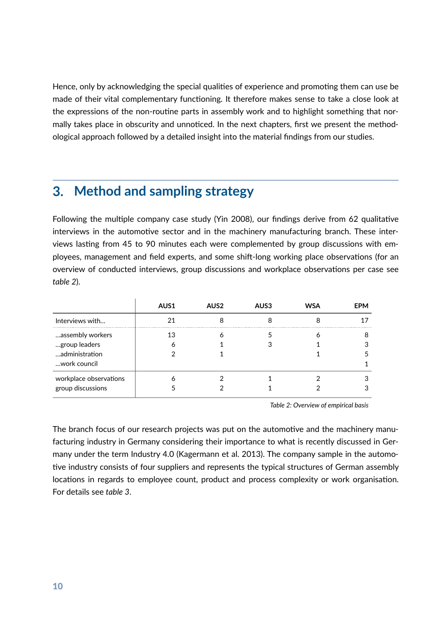Hence, only by acknowledging the special qualities of experience and promoting them can use be made of their vital complementary functioning. It therefore makes sense to take a close look at the expressions of the non-routine parts in assembly work and to highlight something that normally takes place in obscurity and unnoticed. In the next chapters, first we present the methodological approach followed by a detailed insight into the material findings from our studies.

## **3. Method and sampling strategy**

Following the multiple company case study (Yin 2008), our findings derive from 62 qualitative interviews in the automotive sector and in the machinery manufacturing branch. These interviews lasting from 45 to 90 minutes each were complemented by group discussions with employees, management and field experts, and some shift-long working place observations (for an overview of conducted interviews, group discussions and workplace observations per case see *table 2*).

|                        | AUS1 | AUS2 | AUS3 | <b>WSA</b> | <b>EPM</b> |
|------------------------|------|------|------|------------|------------|
| Interviews with        |      |      |      |            |            |
| assembly workers       | 13   |      |      |            |            |
| group leaders          |      |      |      |            |            |
| administration         |      |      |      |            |            |
| work council           |      |      |      |            |            |
| workplace observations |      |      |      |            |            |
| group discussions      |      |      |      |            |            |

*Table 2: Overview of empirical basis*

The branch focus of our research projects was put on the automotive and the machinery manufacturing industry in Germany considering their importance to what is recently discussed in Germany under the term Industry 4.0 (Kagermann et al. 2013). The company sample in the automo tive industry consists of four suppliers and represents the typical structures of German assembly locations in regards to employee count, product and process complexity or work organisation. For details see *table 3*.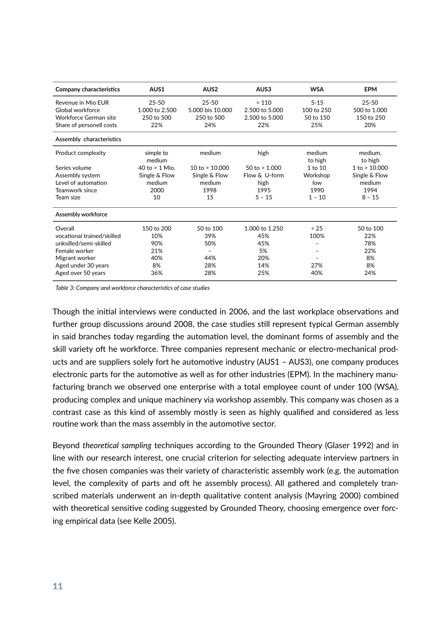| Company characteristics    | AUS <sub>1</sub> | AUS <sub>2</sub>  | AUS3            | <b>WSA</b> | <b>EPM</b>    |
|----------------------------|------------------|-------------------|-----------------|------------|---------------|
| Revenue in Mio FUR         | $25 - 50$        | $25 - 50$         | >110            | $5 - 15$   | $25 - 50$     |
| Global workforce           | 1.000 to 2.500   | 5.000 bis 10.000  | 2.500 to 5.000  | 100 to 250 | 500 to 1.000  |
| Workforce German site      | 250 to 500       | 250 to 500        | 2.500 to 5.000  | 50 to 150  | 150 to 250    |
| Share of personell costs   | 22%              | 24%               | 22%             | 25%        | 20%           |
| Assembly characteristics   |                  |                   |                 |            |               |
| Product complexity         | simple to        | medium            | high            | medium     | medium,       |
|                            | medium           |                   |                 | to high    | to high       |
| Series volume              | 40 to $> 1$ Mio. | 10 to $> 10.000$  | 50 to $> 1.000$ | 1 to 10    | 1 to > 10.000 |
| Assembly system            | Single & Flow    | Single & Flow     | Flow & U-form   | Workshop   | Single & Flow |
| Level of automation        | medium           | medium            | high            | low        | medium        |
| Teamwork since             | 2000             | 1998              | 1995            | 1990       | 1994          |
| Team size                  | 10               | 15                | $5 - 15$        | $1 - 10$   | $8 - 15$      |
| Assembly workforce         |                  |                   |                 |            |               |
| Overall                    | 150 to 200       | 50 to 100         | 1.000 to 1.250  | < 25       | 50 to 100     |
| vocational trained/skilled | 10%              | 39%               | 45%             | 100%       | 22%           |
| unksilled/semi-skilled     | 90%              | 50%               | 45%             |            | 78%           |
| Female worker              | 21%              | $\qquad \qquad -$ | 5%              |            | 22%           |
| Migrant worker             | 40%              | 44%               | 20%             |            | 8%            |
| Aged under 30 years        | 8%               | 28%               | 14%             | 27%        | 8%            |
| Aged over 50 years         | 36%              | 28%               | 25%             | 40%        | 24%           |

Table 3: Company and workforce characteristics of case studies

Though the initial interviews were conducted in 2006, and the last workplace observations and further group discussions around 2008, the case studies still represent typical German assembly in said branches today regarding the automation level, the dominant forms of assembly and the skill variety oft he workforce. Three companies represent mechanic or electro-mechanical products and are suppliers solely fort he automotive industry (AUS1 - AUS3), one company produces electronic parts for the automotive as well as for other industries (EPM). In the machinery manufacturing branch we observed one enterprise with a total employee count of under 100 (WSA), producing complex and unique machinery via workshop assembly. This company was chosen as a contrast case as this kind of assembly mostly is seen as highly qualified and considered as less routine work than the mass assembly in the automotive sector.

Beyond *theoretical sampling* techniques according to the Grounded Theory (Glaser 1992) and in line with our research interest, one crucial criterion for selecting adequate interview partners in the five chosen companies was their variety of characteristic assembly work (e.g. the automation level, the complexity of parts and oft he assembly process). All gathered and completely transcribed materials underwent an in-depth qualitative content analysis (Mayring 2000) combined with theoretical sensitive coding suggested by Grounded Theory, choosing emergence over forcing empirical data (see Kelle 2005).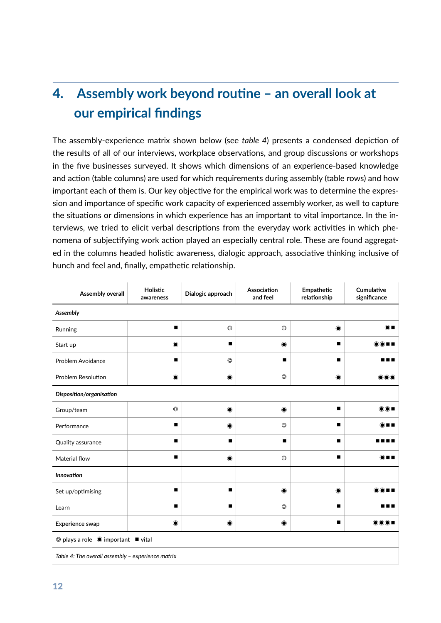# **4.** Assembly work beyond routine – an overall look at **our empirical findings**

The assembly-experience matrix shown below (see *table 4*) presents a condensed depiction of the results of all of our interviews, workplace observations, and group discussions or workshops in the five businesses surveyed. It shows which dimensions of an experience-based knowledge and action (table columns) are used for which requirements during assembly (table rows) and how important each of them is. Our key objective for the empirical work was to determine the expression and importance of specific work capacity of experienced assembly worker, as well to capture the situations or dimensions in which experience has an important to vital importance. In the interviews, we tried to elicit verbal descriptions from the everyday work activities in which phenomena of subjectifying work action played an especially central role. These are found aggregated in the columns headed holistic awareness, dialogic approach, associative thinking inclusive of hunch and feel and, finally, empathetic relationship.

| Assembly overall                                                     | Holistic<br>awareness | Dialogic approach | Association<br>and feel | Empathetic<br>relationship | Cumulative<br>significance                                                                                                                                    |
|----------------------------------------------------------------------|-----------------------|-------------------|-------------------------|----------------------------|---------------------------------------------------------------------------------------------------------------------------------------------------------------|
| Assembly                                                             |                       |                   |                         |                            |                                                                                                                                                               |
| Running                                                              | п                     | $\circledcirc$    | $\circledcirc$          | $\bullet$                  | $\bigcirc$ $\blacksquare$                                                                                                                                     |
| Start up                                                             | $\bullet$             | п                 | $\bullet$               | ▬                          | ◉∎∎                                                                                                                                                           |
| Problem Avoidance                                                    | ■                     | $\circledcirc$    | п                       |                            | ---                                                                                                                                                           |
| <b>Problem Resolution</b>                                            | $\bullet$             | $\bullet$         | $\circledcirc$          | $\circledbullet$           | $\bigcirc \bigcirc$                                                                                                                                           |
| Disposition/organisation                                             |                       |                   |                         |                            |                                                                                                                                                               |
| Group/team                                                           | $\circledcirc$        | $\bullet$         | $\bullet$               |                            | $\circledcirc$ $\blacksquare$                                                                                                                                 |
| Performance                                                          | ■                     | $\bullet$         | $\circledcirc$          |                            | ◉∎∎                                                                                                                                                           |
| Quality assurance                                                    | ■                     | ■                 | ■                       | ■                          |                                                                                                                                                               |
| Material flow                                                        | ▬                     | $\bullet$         | $\circledcirc$          |                            | ◉∎∎                                                                                                                                                           |
| <b>Innovation</b>                                                    |                       |                   |                         |                            |                                                                                                                                                               |
| Set up/optimising                                                    | ■                     | ■                 | $\bullet$               | $\bullet$                  | $\textcolor{blue}{\textcircled{\scriptsize{}}\textcolor{blue}{\bullet\textcolor{blue}{\bullet}}\textcolor{blue}{\blacksquare}} \textcolor{red}{\blacksquare}$ |
| Learn                                                                | п                     | $\blacksquare$    | $\circledcirc$          |                            | ---                                                                                                                                                           |
| Experience swap                                                      | $\circledcirc$        | $\bullet$         | $\bullet$               |                            |                                                                                                                                                               |
| $\circledcirc$ plays a role $\circledcirc$ important $\bullet$ vital |                       |                   |                         |                            |                                                                                                                                                               |
| Table 4: The overall assembly - experience matrix                    |                       |                   |                         |                            |                                                                                                                                                               |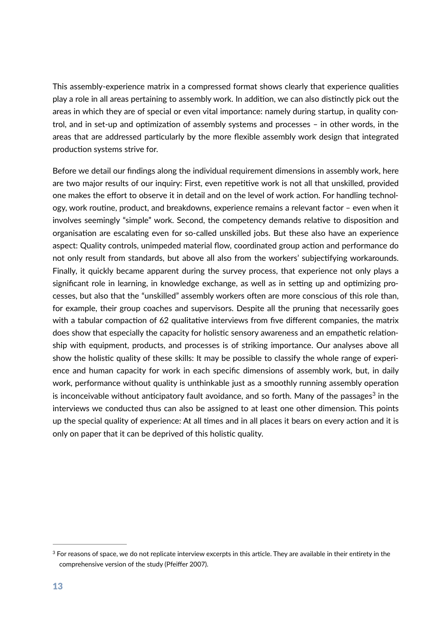This assembly-experience matrix in a compressed format shows clearly that experience qualities play a role in all areas pertaining to assembly work. In addition, we can also distinctly pick out the areas in which they are of special or even vital importance: namely during startup, in quality control, and in set-up and optimization of assembly systems and processes  $-$  in other words, in the areas that are addressed particularly by the more flexible assembly work design that integrated production systems strive for.

Before we detail our findings along the individual requirement dimensions in assembly work, here are two major results of our inquiry: First, even repetitive work is not all that unskilled, provided one makes the effort to observe it in detail and on the level of work action. For handling technology, work routine, product, and breakdowns, experience remains a relevant factor - even when it involves seemingly "simple" work. Second, the competency demands relative to disposition and organisation are escalating even for so-called unskilled jobs. But these also have an experience aspect: Quality controls, unimpeded material flow, coordinated group action and performance do not only result from standards, but above all also from the workers' subjectifying workarounds. Finally, it quickly became apparent during the survey process, that experience not only plays a significant role in learning, in knowledge exchange, as well as in setting up and optimizing processes, but also that the "unskilled" assembly workers often are more conscious of this role than, for example, their group coaches and supervisors. Despite all the pruning that necessarily goes with a tabular compaction of 62 qualitative interviews from five different companies, the matrix does show that especially the capacity for holistic sensory awareness and an empathetic relationship with equipment, products, and processes is of striking importance. Our analyses above all show the holistic quality of these skills: It may be possible to classify the whole range of experience and human capacity for work in each specific dimensions of assembly work, but, in daily work, performance without quality is unthinkable just as a smoothly running assembly operation is inconceivable without anticipatory fault avoidance, and so forth. Many of the passages<sup>[3](#page-14-0)</sup> in the interviews we conducted thus can also be assigned to at least one other dimension. This points up the special quality of experience: At all times and in all places it bears on every action and it is only on paper that it can be deprived of this holistic quality.

<span id="page-14-1"></span><span id="page-14-0"></span> $3$  For reasons of space, we do not replicate interview excerpts in this article. They are available in their entirety in the comprehensive version of the study (Pfeiffer 2007).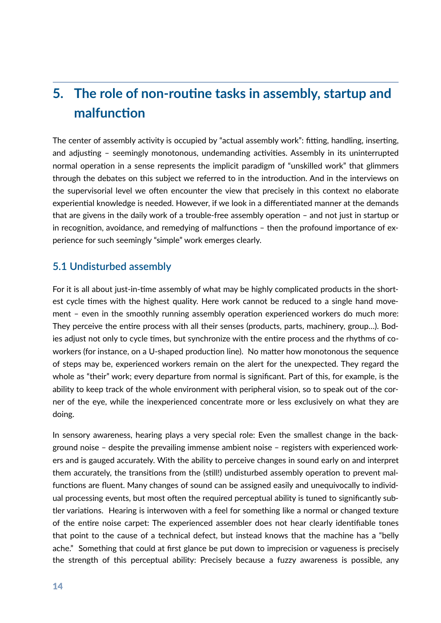## **5. The role of non-routine tasks in assembly, startup and malfunction**

The center of assembly activity is occupied by "actual assembly work": fitting, handling, inserting, and adjusting – seemingly monotonous, undemanding activities. Assembly in its uninterrupted normal operation in a sense represents the implicit paradigm of "unskilled work" that glimmers through the debates on this subject we referred to in the introduction. And in the interviews on the supervisorial level we often encounter the view that precisely in this context no elaborate experiential knowledge is needed. However, if we look in a differentiated manner at the demands that are givens in the daily work of a trouble-free assembly operation  $-$  and not just in startup or in recognition, avoidance, and remedying of malfunctions  $-$  then the profound importance of experience for such seemingly "simple" work emerges clearly.

### **5.1 Undisturbed assembly**

For it is all about just-in-time assembly of what may be highly complicated products in the shortest cycle times with the highest quality. Here work cannot be reduced to a single hand movement – even in the smoothly running assembly operation experienced workers do much more: They perceive the entire process with all their senses (products, parts, machinery, group...). Bodies adjust not only to cycle times, but synchronize with the entire process and the rhythms of coworkers (for instance, on a U-shaped production line). No matter how monotonous the sequence of steps may be, experienced workers remain on the alert for the unexpected. They regard the whole as "their" work; every departure from normal is significant. Part of this, for example, is the ability to keep track of the whole environment with peripheral vision, so to speak out of the corner of the eye, while the inexperienced concentrate more or less exclusively on what they are doing.

In sensory awareness, hearing plays a very special role: Even the smallest change in the background noise – despite the prevailing immense ambient noise – registers with experienced workers and is gauged accurately. With the ability to perceive changes in sound early on and interpret them accurately, the transitions from the (still!) undisturbed assembly operation to prevent malfunctions are fluent. Many changes of sound can be assigned easily and unequivocally to individual processing events, but most often the required perceptual ability is tuned to significantly subtler variations. Hearing is interwoven with a feel for something like a normal or changed texture of the entire noise carpet: The experienced assembler does not hear clearly identifiable tones that point to the cause of a technical defect, but instead knows that the machine has a "belly ache." Something that could at first glance be put down to imprecision or vagueness is precisely the strength of this perceptual ability: Precisely because a fuzzy awareness is possible, any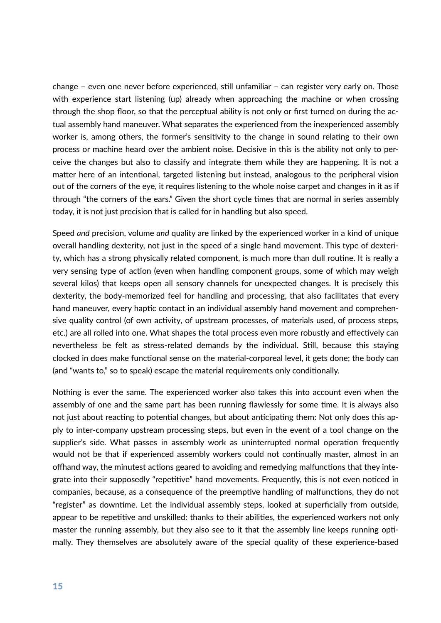change – even one never before experienced, still unfamiliar – can register very early on. Those with experience start listening (up) already when approaching the machine or when crossing through the shop floor, so that the perceptual ability is not only or first turned on during the actual assembly hand maneuver. What separates the experienced from the inexperienced assembly worker is, among others, the former's sensitivity to the change in sound relating to their own process or machine heard over the ambient noise. Decisive in this is the ability not only to perceive the changes but also to classify and integrate them while they are happening. It is not a matter here of an intentional, targeted listening but instead, analogous to the peripheral vision out of the corners of the eye, it requires listening to the whole noise carpet and changes in it as if through "the corners of the ears." Given the short cycle times that are normal in series assembly today, it is not just precision that is called for in handling but also speed.

Speed *and* precision, volume *and* quality are linked by the experienced worker in a kind of unique overall handling dexterity, not just in the speed of a single hand movement. This type of dexterity, which has a strong physically related component, is much more than dull routine. It is really a very sensing type of action (even when handling component groups, some of which may weigh several kilos) that keeps open all sensory channels for unexpected changes. It is precisely this dexterity, the body-memorized feel for handling and processing, that also facilitates that every hand maneuver, every haptic contact in an individual assembly hand movement and comprehensive quality control (of own activity, of upstream processes, of materials used, of process steps, etc.) are all rolled into one. What shapes the total process even more robustly and effectively can nevertheless be felt as stress-related demands by the individual. Still, because this staying clocked in does make functional sense on the material-corporeal level, it gets done; the body can (and "wants to," so to speak) escape the material requirements only conditionally.

Nothing is ever the same. The experienced worker also takes this into account even when the assembly of one and the same part has been running flawlessly for some time. It is always also not just about reacting to potential changes, but about anticipating them: Not only does this apply to inter-company upstream processing steps, but even in the event of a tool change on the supplier's side. What passes in assembly work as uninterrupted normal operation frequently would not be that if experienced assembly workers could not continually master, almost in an offhand way, the minutest actions geared to avoiding and remedying malfunctions that they integrate into their supposedly "repetitive" hand movements. Frequently, this is not even noticed in companies, because, as a consequence of the preemptive handling of malfunctions, they do not "register" as downtime. Let the individual assembly steps, looked at superficially from outside, appear to be repetitive and unskilled: thanks to their abilities, the experienced workers not only master the running assembly, but they also see to it that the assembly line keeps running optimally. They themselves are absolutely aware of the special quality of these experience-based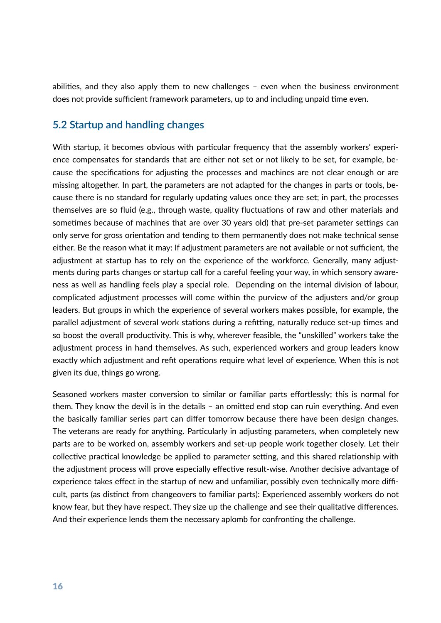abilities, and they also apply them to new challenges  $-$  even when the business environment does not provide sufficient framework parameters, up to and including unpaid time even.

### **5.2 Startup and handling changes**

With startup, it becomes obvious with particular frequency that the assembly workers' experience compensates for standards that are either not set or not likely to be set, for example, because the specifications for adjusting the processes and machines are not clear enough or are missing altogether. In part, the parameters are not adapted for the changes in parts or tools, because there is no standard for regularly updating values once they are set; in part, the processes themselves are so fluid (e.g., through waste, quality fluctuations of raw and other materials and sometimes because of machines that are over 30 years old) that pre-set parameter settings can only serve for gross orientation and tending to them permanently does not make technical sense either. Be the reason what it may: If adjustment parameters are not available or not sufficient, the adjustment at startup has to rely on the experience of the workforce. Generally, many adjustments during parts changes or startup call for a careful feeling your way, in which sensory awareness as well as handling feels play a special role. Depending on the internal division of labour, complicated adjustment processes will come within the purview of the adjusters and/or group leaders. But groups in which the experience of several workers makes possible, for example, the parallel adjustment of several work stations during a refitting, naturally reduce set-up times and so boost the overall productivity. This is why, wherever feasible, the "unskilled" workers take the adjustment process in hand themselves. As such, experienced workers and group leaders know exactly which adjustment and refit operations require what level of experience. When this is not given its due, things go wrong.

Seasoned workers master conversion to similar or familiar parts effortlessly; this is normal for them. They know the devil is in the details  $-$  an omitted end stop can ruin everything. And even the basically familiar series part can differ tomorrow because there have been design changes. The veterans are ready for anything. Particularly in adjusting parameters, when completely new parts are to be worked on, assembly workers and set-up people work together closely. Let their collective practical knowledge be applied to parameter setting, and this shared relationship with the adjustment process will prove especially effective result-wise. Another decisive advantage of experience takes effect in the startup of new and unfamiliar, possibly even technically more difficult, parts (as distinct from changeovers to familiar parts): Experienced assembly workers do not know fear, but they have respect. They size up the challenge and see their qualitative differences. And their experience lends them the necessary aplomb for confronting the challenge.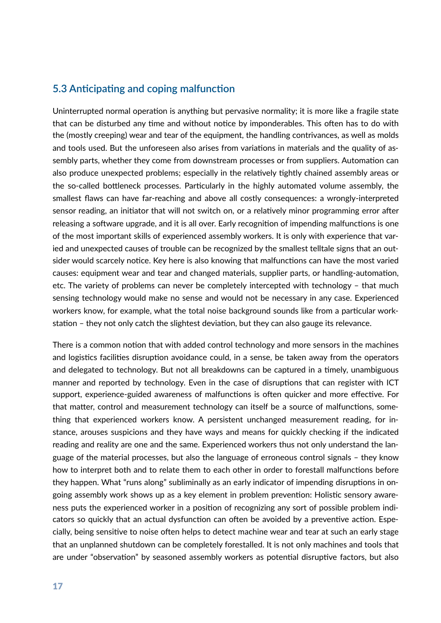#### **5.3 Anticipating and coping malfunction**

Uninterrupted normal operation is anything but pervasive normality; it is more like a fragile state that can be disturbed any time and without notice by imponderables. This often has to do with the (mostly creeping) wear and tear of the equipment, the handling contrivances, as well as molds and tools used. But the unforeseen also arises from variations in materials and the quality of assembly parts, whether they come from downstream processes or from suppliers. Automation can also produce unexpected problems; especially in the relatively tightly chained assembly areas or the so-called bottleneck processes. Particularly in the highly automated volume assembly, the smallest flaws can have far-reaching and above all costly consequences: a wrongly-interpreted sensor reading, an initiator that will not switch on, or a relatively minor programming error after releasing a software upgrade, and it is all over. Early recognition of impending malfunctions is one of the most important skills of experienced assembly workers. It is only with experience that varied and unexpected causes of trouble can be recognized by the smallest telltale signs that an outsider would scarcely notice. Key here is also knowing that malfunctions can have the most varied causes: equipment wear and tear and changed materials, supplier parts, or handling-automation, etc. The variety of problems can never be completely intercepted with technology – that much sensing technology would make no sense and would not be necessary in any case. Experienced workers know, for example, what the total noise background sounds like from a particular workstation – they not only catch the slightest deviation, but they can also gauge its relevance.

There is a common notion that with added control technology and more sensors in the machines and logistics facilities disruption avoidance could, in a sense, be taken away from the operators and delegated to technology. But not all breakdowns can be captured in a timely, unambiguous manner and reported by technology. Even in the case of disruptions that can register with ICT support, experience-guided awareness of malfunctions is often quicker and more effective. For that matter, control and measurement technology can itself be a source of malfunctions, something that experienced workers know. A persistent unchanged measurement reading, for instance, arouses suspicions and they have ways and means for quickly checking if the indicated reading and reality are one and the same. Experienced workers thus not only understand the language of the material processes, but also the language of erroneous control signals – they know how to interpret both and to relate them to each other in order to forestall malfunctions before they happen. What "runs along" subliminally as an early indicator of impending disruptions in ongoing assembly work shows up as a key element in problem prevention: Holistic sensory awareness puts the experienced worker in a position of recognizing any sort of possible problem indicators so quickly that an actual dysfunction can often be avoided by a preventive action. Especially, being sensitive to noise often helps to detect machine wear and tear at such an early stage that an unplanned shutdown can be completely forestalled. It is not only machines and tools that are under "observation" by seasoned assembly workers as potential disruptive factors, but also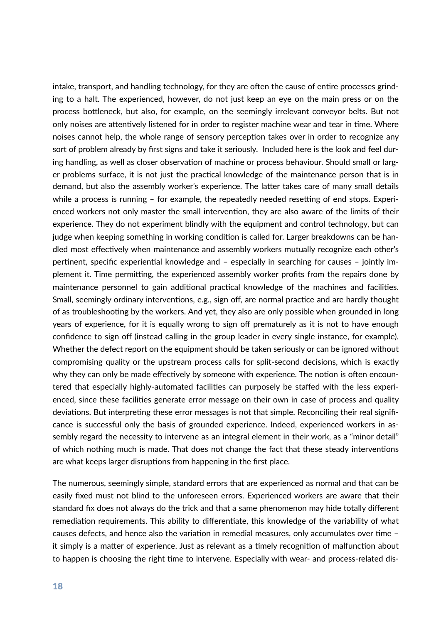intake, transport, and handling technology, for they are often the cause of entire processes grinding to a halt. The experienced, however, do not just keep an eye on the main press or on the process bottleneck, but also, for example, on the seemingly irrelevant conveyor belts. But not only noises are attentively listened for in order to register machine wear and tear in time. Where noises cannot help, the whole range of sensory perception takes over in order to recognize any sort of problem already by first signs and take it seriously. Included here is the look and feel during handling, as well as closer observation of machine or process behaviour. Should small or larger problems surface, it is not just the practical knowledge of the maintenance person that is in demand, but also the assembly worker's experience. The latter takes care of many small details while a process is running  $-$  for example, the repeatedly needed resetting of end stops. Experienced workers not only master the small intervention, they are also aware of the limits of their experience. They do not experiment blindly with the equipment and control technology, but can judge when keeping something in working condition is called for. Larger breakdowns can be handled most effectively when maintenance and assembly workers mutually recognize each other's pertinent, specific experiential knowledge and - especially in searching for causes - jointly implement it. Time permitting, the experienced assembly worker profits from the repairs done by maintenance personnel to gain additional practical knowledge of the machines and facilities. Small, seemingly ordinary interventions, e.g., sign off, are normal practice and are hardly thought of as troubleshooting by the workers. And yet, they also are only possible when grounded in long years of experience, for it is equally wrong to sign off prematurely as it is not to have enough confidence to sign off (instead calling in the group leader in every single instance, for example). Whether the defect report on the equipment should be taken seriously or can be ignored without compromising quality or the upstream process calls for split-second decisions, which is exactly why they can only be made effectively by someone with experience. The notion is often encountered that especially highly-automated facilities can purposely be staffed with the less experienced, since these facilities generate error message on their own in case of process and quality deviations. But interpreting these error messages is not that simple. Reconciling their real significance is successful only the basis of grounded experience. Indeed, experienced workers in assembly regard the necessity to intervene as an integral element in their work, as a "minor detail" of which nothing much is made. That does not change the fact that these steady interventions are what keeps larger disruptions from happening in the first place.

The numerous, seemingly simple, standard errors that are experienced as normal and that can be easily fixed must not blind to the unforeseen errors. Experienced workers are aware that their standard fix does not always do the trick and that a same phenomenon may hide totally different remediation requirements. This ability to differentiate, this knowledge of the variability of what causes defects, and hence also the variation in remedial measures, only accumulates over time it simply is a matter of experience. Just as relevant as a timely recognition of malfunction about to happen is choosing the right time to intervene. Especially with wear- and process-related dis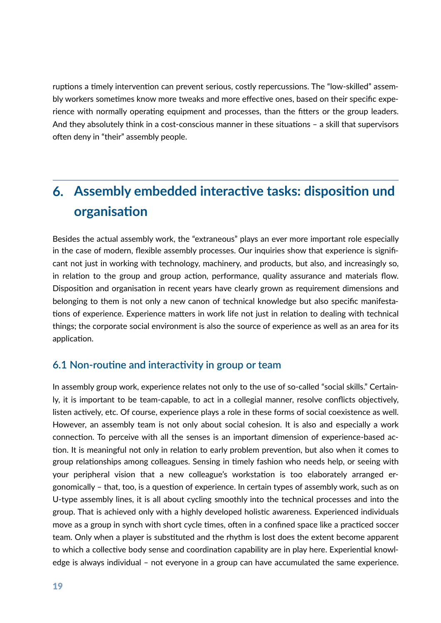ruptions a timely intervention can prevent serious, costly repercussions. The "low-skilled" assembly workers sometimes know more tweaks and more effective ones, based on their specific experience with normally operating equipment and processes, than the fitters or the group leaders. And they absolutely think in a cost-conscious manner in these situations  $-$  a skill that supervisors often deny in "their" assembly people.

# **6.** Assembly embedded interactive tasks: disposition und **organisation**

Besides the actual assembly work, the "extraneous" plays an ever more important role especially in the case of modern, flexible assembly processes. Our inquiries show that experience is significant not just in working with technology, machinery, and products, but also, and increasingly so, in relation to the group and group action, performance, quality assurance and materials flow. Disposition and organisation in recent years have clearly grown as requirement dimensions and belonging to them is not only a new canon of technical knowledge but also specific manifesta tions of experience. Experience matters in work life not just in relation to dealing with technical things; the corporate social environment is also the source of experience as well as an area for its application.

#### **6.1 Non-routine and interactivity in group or team**

In assembly group work, experience relates not only to the use of so-called "social skills." Certainly, it is important to be team-capable, to act in a collegial manner, resolve conflicts objectively, listen actively, etc. Of course, experience plays a role in these forms of social coexistence as well. However, an assembly team is not only about social cohesion. It is also and especially a work connection. To perceive with all the senses is an important dimension of experience-based action. It is meaningful not only in relation to early problem prevention, but also when it comes to group relationships among colleagues. Sensing in timely fashion who needs help, or seeing with your peripheral vision that a new colleague's workstation is too elaborately arranged ergonomically – that, too, is a question of experience. In certain types of assembly work, such as on U-type assembly lines, it is all about cycling smoothly into the technical processes and into the group. That is achieved only with a highly developed holistic awareness. Experienced individuals move as a group in synch with short cycle times, often in a confined space like a practiced soccer team. Only when a player is substituted and the rhythm is lost does the extent become apparent to which a collective body sense and coordination capability are in play here. Experiential knowledge is always individual – not everyone in a group can have accumulated the same experience.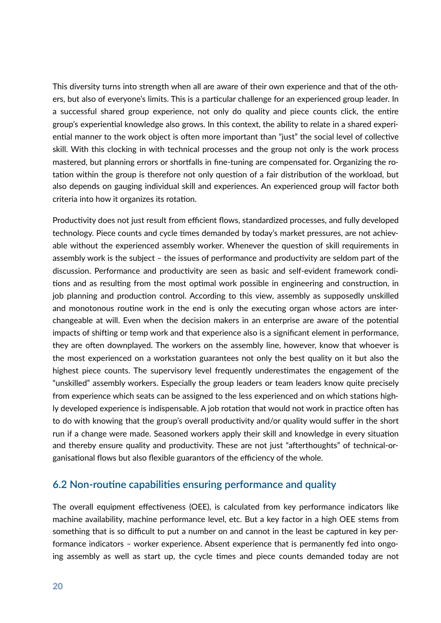This diversity turns into strength when all are aware of their own experience and that of the others, but also of everyone's limits. This is a particular challenge for an experienced group leader. In a successful shared group experience, not only do quality and piece counts click, the entire group's experiential knowledge also grows. In this context, the ability to relate in a shared experiential manner to the work object is often more important than "just" the social level of collective skill. With this clocking in with technical processes and the group not only is the work process mastered, but planning errors or shortfalls in fine-tuning are compensated for. Organizing the rotation within the group is therefore not only question of a fair distribution of the workload, but also depends on gauging individual skill and experiences. An experienced group will factor both criteria into how it organizes its rotation.

Productivity does not just result from efficient flows, standardized processes, and fully developed technology. Piece counts and cycle times demanded by today's market pressures, are not achievable without the experienced assembly worker. Whenever the question of skill requirements in assembly work is the subject - the issues of performance and productivity are seldom part of the discussion. Performance and productivity are seen as basic and self-evident framework conditions and as resulting from the most optimal work possible in engineering and construction, in job planning and production control. According to this view, assembly as supposedly unskilled and monotonous routine work in the end is only the executing organ whose actors are interchangeable at will. Even when the decision makers in an enterprise are aware of the potential impacts of shifting or temp work and that experience also is a significant element in performance, they are often downplayed. The workers on the assembly line, however, know that whoever is the most experienced on a workstation guarantees not only the best quality on it but also the highest piece counts. The supervisory level frequently underestimates the engagement of the "unskilled" assembly workers. Especially the group leaders or team leaders know quite precisely from experience which seats can be assigned to the less experienced and on which stations highly developed experience is indispensable. A job rotation that would not work in practice often has to do with knowing that the group's overall productivity and/or quality would suffer in the short run if a change were made. Seasoned workers apply their skill and knowledge in every situation and thereby ensure quality and productivity. These are not just "afterthoughts" of technical-organisational flows but also flexible guarantors of the efficiency of the whole.

#### **6.2 Non-routine capabilities ensuring performance and quality**

The overall equipment effectiveness (OEE), is calculated from key performance indicators like machine availability, machine performance level, etc. But a key factor in a high OEE stems from something that is so difficult to put a number on and cannot in the least be captured in key performance indicators – worker experience. Absent experience that is permanently fed into ongoing assembly as well as start up, the cycle times and piece counts demanded today are not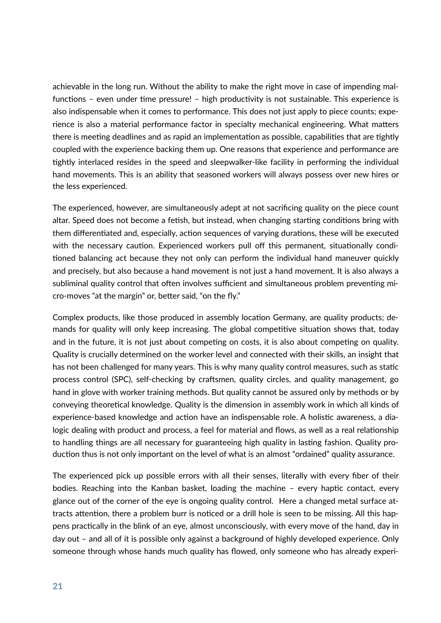achievable in the long run. Without the ability to make the right move in case of impending malfunctions – even under time pressure! – high productivity is not sustainable. This experience is also indispensable when it comes to performance. This does not just apply to piece counts; experience is also a material performance factor in specialty mechanical engineering. What matters there is meeting deadlines and as rapid an implementation as possible, capabilities that are tightly coupled with the experience backing them up. One reasons that experience and performance are tightly interlaced resides in the speed and sleepwalker-like facility in performing the individual hand movements. This is an ability that seasoned workers will always possess over new hires or the less experienced.

The experienced, however, are simultaneously adept at not sacrificing quality on the piece count altar. Speed does not become a fetish, but instead, when changing starting conditions bring with them differentiated and, especially, action sequences of varying durations, these will be executed with the necessary caution. Experienced workers pull off this permanent, situationally conditioned balancing act because they not only can perform the individual hand maneuver quickly and precisely, but also because a hand movement is not just a hand movement. It is also always a subliminal quality control that often involves sufficient and simultaneous problem preventing micro-moves "at the margin" or, better said, "on the fly."

Complex products, like those produced in assembly location Germany, are quality products; demands for quality will only keep increasing. The global competitive situation shows that, today and in the future, it is not just about competing on costs, it is also about competing on quality. Quality is crucially determined on the worker level and connected with their skills, an insight that has not been challenged for many years. This is why many quality control measures, such as static process control (SPC), self-checking by craftsmen, quality circles, and quality management, go hand in glove with worker training methods. But quality cannot be assured only by methods or by conveying theoretical knowledge. Quality is the dimension in assembly work in which all kinds of experience-based knowledge and action have an indispensable role. A holistic awareness, a dialogic dealing with product and process, a feel for material and flows, as well as a real relationship to handling things are all necessary for guaranteeing high quality in lasting fashion. Quality production thus is not only important on the level of what is an almost "ordained" quality assurance.

The experienced pick up possible errors with all their senses, literally with every fiber of their bodies. Reaching into the Kanban basket, loading the machine - every haptic contact, every glance out of the corner of the eye is ongoing quality control. Here a changed metal surface attracts attention, there a problem burr is noticed or a drill hole is seen to be missing. All this happens practically in the blink of an eye, almost unconsciously, with every move of the hand, day in day out – and all of it is possible only against a background of highly developed experience. Only someone through whose hands much quality has flowed, only someone who has already experi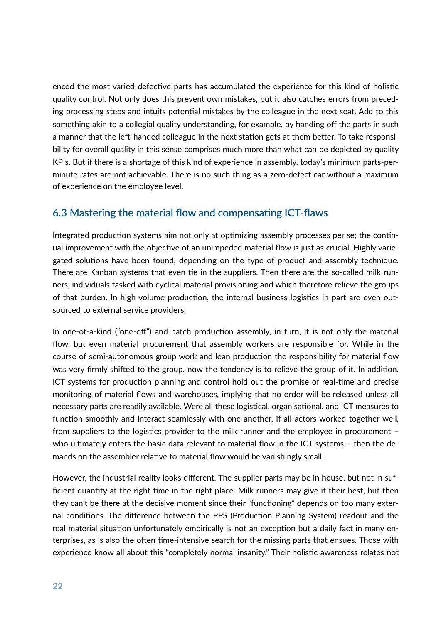enced the most varied defective parts has accumulated the experience for this kind of holistic quality control. Not only does this prevent own mistakes, but it also catches errors from preceding processing steps and intuits potential mistakes by the colleague in the next seat. Add to this something akin to a collegial quality understanding, for example, by handing off the parts in such a manner that the left-handed colleague in the next station gets at them better. To take responsibility for overall quality in this sense comprises much more than what can be depicted by quality KPIs. But if there is a shortage of this kind of experience in assembly, today's minimum parts-perminute rates are not achievable. There is no such thing as a zero-defect car without a maximum of experience on the employee level.

### **6.3 Mastering the material flow and compensating ICT-flaws**

Integrated production systems aim not only at optimizing assembly processes per se; the continual improvement with the objective of an unimpeded material flow is just as crucial. Highly variegated solutions have been found, depending on the type of product and assembly technique. There are Kanban systems that even tie in the suppliers. Then there are the so-called milk runners, individuals tasked with cyclical material provisioning and which therefore relieve the groups of that burden. In high volume production, the internal business logistics in part are even outsourced to external service providers.

In one-of-a-kind ("one-off") and batch production assembly, in turn, it is not only the material flow, but even material procurement that assembly workers are responsible for. While in the course of semi-autonomous group work and lean production the responsibility for material flow was very firmly shifted to the group, now the tendency is to relieve the group of it. In addition, ICT systems for production planning and control hold out the promise of real-time and precise monitoring of material flows and warehouses, implying that no order will be released unless all necessary parts are readily available. Were all these logistical, organisational, and ICT measures to function smoothly and interact seamlessly with one another, if all actors worked together well, from suppliers to the logistics provider to the milk runner and the employee in procurement – who ultimately enters the basic data relevant to material flow in the ICT systems  $-$  then the demands on the assembler relative to material flow would be vanishingly small.

However, the industrial reality looks different. The supplier parts may be in house, but not in sufficient quantity at the right time in the right place. Milk runners may give it their best, but then they can't be there at the decisive moment since their "functioning" depends on too many external conditions. The difference between the PPS (Production Planning System) readout and the real material situation unfortunately empirically is not an exception but a daily fact in many enterprises, as is also the often time-intensive search for the missing parts that ensues. Those with experience know all about this "completely normal insanity." Their holistic awareness relates not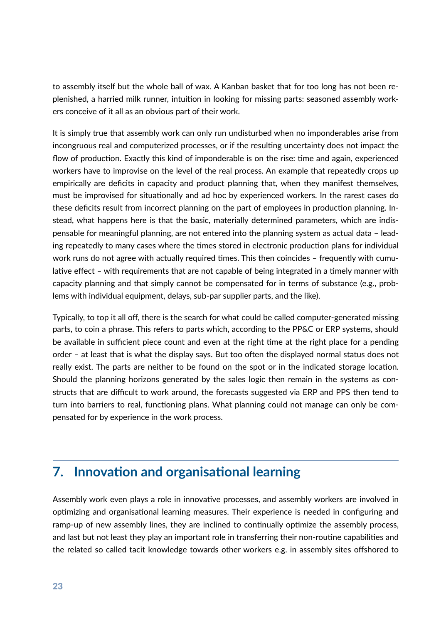to assembly itself but the whole ball of wax. A Kanban basket that for too long has not been replenished, a harried milk runner, intuition in looking for missing parts: seasoned assembly workers conceive of it all as an obvious part of their work.

It is simply true that assembly work can only run undisturbed when no imponderables arise from incongruous real and computerized processes, or if the resulting uncertainty does not impact the flow of production. Exactly this kind of imponderable is on the rise: time and again, experienced workers have to improvise on the level of the real process. An example that repeatedly crops up empirically are deficits in capacity and product planning that, when they manifest themselves, must be improvised for situationally and ad hoc by experienced workers. In the rarest cases do these deficits result from incorrect planning on the part of employees in production planning. Instead, what happens here is that the basic, materially determined parameters, which are indispensable for meaningful planning, are not entered into the planning system as actual data – leading repeatedly to many cases where the times stored in electronic production plans for individual work runs do not agree with actually required times. This then coincides - frequently with cumulative effect – with requirements that are not capable of being integrated in a timely manner with capacity planning and that simply cannot be compensated for in terms of substance (e.g., problems with individual equipment, delays, sub-par supplier parts, and the like).

Typically, to top it all off, there is the search for what could be called computer-generated missing parts, to coin a phrase. This refers to parts which, according to the PP&C or ERP systems, should be available in sufficient piece count and even at the right time at the right place for a pending order – at least that is what the display says. But too often the displayed normal status does not really exist. The parts are neither to be found on the spot or in the indicated storage location. Should the planning horizons generated by the sales logic then remain in the systems as constructs that are difficult to work around, the forecasts suggested via ERP and PPS then tend to turn into barriers to real, functioning plans. What planning could not manage can only be compensated for by experience in the work process.

## **7.** Innovation and organisational learning

Assembly work even plays a role in innovative processes, and assembly workers are involved in optimizing and organisational learning measures. Their experience is needed in configuring and ramp-up of new assembly lines, they are inclined to continually optimize the assembly process, and last but not least they play an important role in transferring their non-routine capabilities and the related so called tacit knowledge towards other workers e.g. in assembly sites offshored to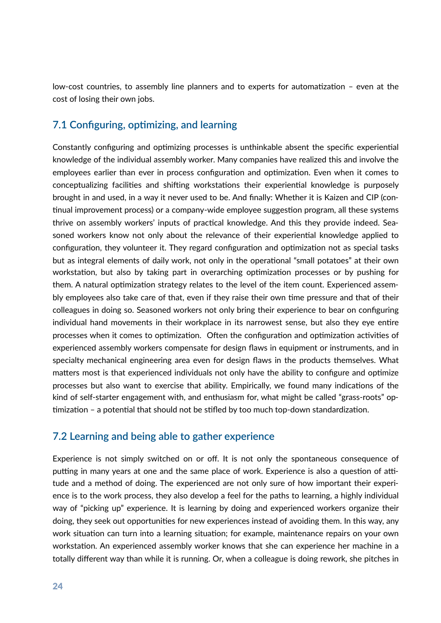low-cost countries, to assembly line planners and to experts for automatization – even at the cost of losing their own jobs.

### **7.1 Configuring, optimizing, and learning**

Constantly configuring and optimizing processes is unthinkable absent the specific experiential knowledge of the individual assembly worker. Many companies have realized this and involve the employees earlier than ever in process configuration and optimization. Even when it comes to conceptualizing facilities and shifting workstations their experiential knowledge is purposely brought in and used, in a way it never used to be. And finally: Whether it is Kaizen and CIP (con tinual improvement process) or a company-wide employee suggestion program, all these systems thrive on assembly workers' inputs of practical knowledge. And this they provide indeed. Seasoned workers know not only about the relevance of their experiential knowledge applied to configuration, they volunteer it. They regard configuration and optimization not as special tasks but as integral elements of daily work, not only in the operational "small potatoes" at their own workstation, but also by taking part in overarching optimization processes or by pushing for them. A natural optimization strategy relates to the level of the item count. Experienced assembly employees also take care of that, even if they raise their own time pressure and that of their colleagues in doing so. Seasoned workers not only bring their experience to bear on configuring individual hand movements in their workplace in its narrowest sense, but also they eye entire processes when it comes to optimization. Often the configuration and optimization activities of experienced assembly workers compensate for design flaws in equipment or instruments, and in specialty mechanical engineering area even for design flaws in the products themselves. What matters most is that experienced individuals not only have the ability to configure and optimize processes but also want to exercise that ability. Empirically, we found many indications of the kind of self-starter engagement with, and enthusiasm for, what might be called "grass-roots" op timization – a potential that should not be stifled by too much top-down standardization.

### **7.2 Learning and being able to gather experience**

Experience is not simply switched on or off. It is not only the spontaneous consequence of putting in many years at one and the same place of work. Experience is also a question of attitude and a method of doing. The experienced are not only sure of how important their experience is to the work process, they also develop a feel for the paths to learning, a highly individual way of "picking up" experience. It is learning by doing and experienced workers organize their doing, they seek out opportunities for new experiences instead of avoiding them. In this way, any work situation can turn into a learning situation; for example, maintenance repairs on your own workstation. An experienced assembly worker knows that she can experience her machine in a totally different way than while it is running. Or, when a colleague is doing rework, she pitches in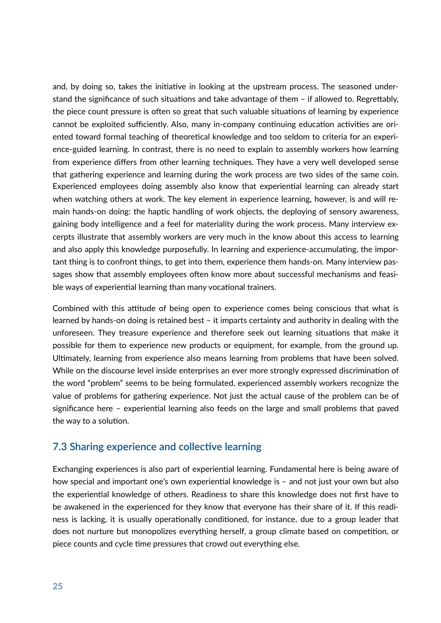and, by doing so, takes the initiative in looking at the upstream process. The seasoned understand the significance of such situations and take advantage of them  $-$  if allowed to. Regrettably, the piece count pressure is often so great that such valuable situations of learning by experience cannot be exploited sufficiently. Also, many in-company continuing education activities are oriented toward formal teaching of theoretical knowledge and too seldom to criteria for an experience-guided learning. In contrast, there is no need to explain to assembly workers how learning from experience differs from other learning techniques. They have a very well developed sense that gathering experience and learning during the work process are two sides of the same coin. Experienced employees doing assembly also know that experiential learning can already start when watching others at work. The key element in experience learning, however, is and will remain hands-on doing: the haptic handling of work objects, the deploying of sensory awareness, gaining body intelligence and a feel for materiality during the work process. Many interview excerpts illustrate that assembly workers are very much in the know about this access to learning and also apply this knowledge purposefully. In learning and experience-accumulating, the important thing is to confront things, to get into them, experience them hands-on. Many interview passages show that assembly employees often know more about successful mechanisms and feasible ways of experiential learning than many vocational trainers.

Combined with this attitude of being open to experience comes being conscious that what is learned by hands-on doing is retained best – it imparts certainty and authority in dealing with the unforeseen. They treasure experience and therefore seek out learning situations that make it possible for them to experience new products or equipment, for example, from the ground up. Ultimately, learning from experience also means learning from problems that have been solved. While on the discourse level inside enterprises an ever more strongly expressed discrimination of the word "problem" seems to be being formulated, experienced assembly workers recognize the value of problems for gathering experience. Not just the actual cause of the problem can be of significance here – experiential learning also feeds on the large and small problems that paved the way to a solution.

#### **7.3 Sharing experience and collective learning**

Exchanging experiences is also part of experiential learning. Fundamental here is being aware of how special and important one's own experiential knowledge is - and not just your own but also the experiential knowledge of others. Readiness to share this knowledge does not first have to be awakened in the experienced for they know that everyone has their share of it. If this readiness is lacking, it is usually operationally conditioned, for instance, due to a group leader that does not nurture but monopolizes everything herself, a group climate based on competition, or piece counts and cycle time pressures that crowd out everything else.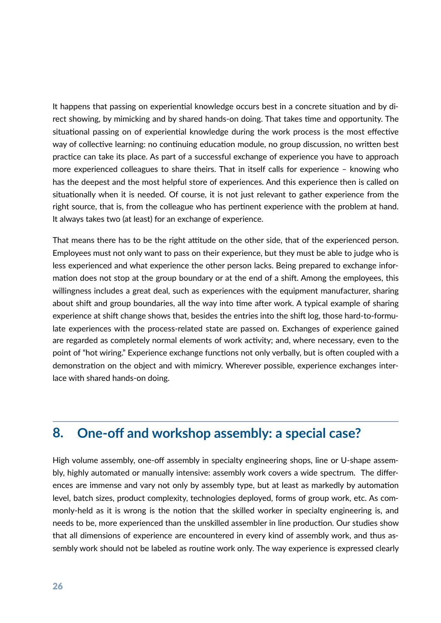It happens that passing on experiential knowledge occurs best in a concrete situation and by direct showing, by mimicking and by shared hands-on doing. That takes time and opportunity. The situational passing on of experiential knowledge during the work process is the most effective way of collective learning: no continuing education module, no group discussion, no written best practice can take its place. As part of a successful exchange of experience you have to approach more experienced colleagues to share theirs. That in itself calls for experience – knowing who has the deepest and the most helpful store of experiences. And this experience then is called on situationally when it is needed. Of course, it is not just relevant to gather experience from the right source, that is, from the colleague who has pertinent experience with the problem at hand. It always takes two (at least) for an exchange of experience.

That means there has to be the right attitude on the other side, that of the experienced person. Employees must not only want to pass on their experience, but they must be able to judge who is less experienced and what experience the other person lacks. Being prepared to exchange information does not stop at the group boundary or at the end of a shift. Among the employees, this willingness includes a great deal, such as experiences with the equipment manufacturer, sharing about shift and group boundaries, all the way into time after work. A typical example of sharing experience at shift change shows that, besides the entries into the shift log, those hard-to-formulate experiences with the process-related state are passed on. Exchanges of experience gained are regarded as completely normal elements of work activity; and, where necessary, even to the point of "hot wiring." Experience exchange functions not only verbally, but is often coupled with a demonstration on the object and with mimicry. Wherever possible, experience exchanges interlace with shared hands-on doing.

## **8. One-off and workshop assembly: a special case?**

High volume assembly, one-off assembly in specialty engineering shops, line or U-shape assembly, highly automated or manually intensive: assembly work covers a wide spectrum. The differences are immense and vary not only by assembly type, but at least as markedly by automation level, batch sizes, product complexity, technologies deployed, forms of group work, etc. As commonly-held as it is wrong is the notion that the skilled worker in specialty engineering is, and needs to be, more experienced than the unskilled assembler in line production. Our studies show that all dimensions of experience are encountered in every kind of assembly work, and thus assembly work should not be labeled as routine work only. The way experience is expressed clearly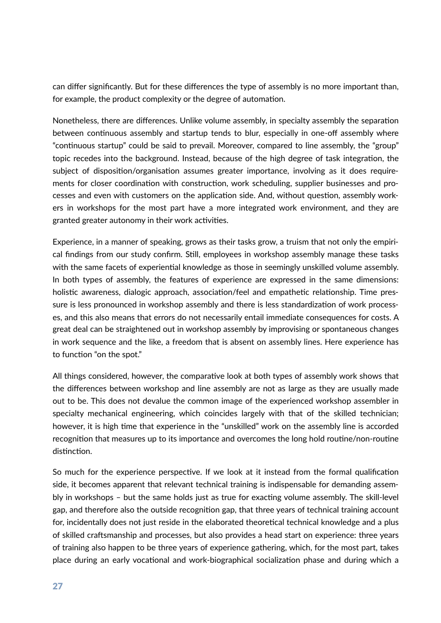can differ significantly. But for these differences the type of assembly is no more important than, for example, the product complexity or the degree of automation.

Nonetheless, there are differences. Unlike volume assembly, in specialty assembly the separation between continuous assembly and startup tends to blur, especially in one-off assembly where "continuous startup" could be said to prevail. Moreover, compared to line assembly, the "group" topic recedes into the background. Instead, because of the high degree of task integration, the subject of disposition/organisation assumes greater importance, involving as it does requirements for closer coordination with construction, work scheduling, supplier businesses and processes and even with customers on the application side. And, without question, assembly workers in workshops for the most part have a more integrated work environment, and they are granted greater autonomy in their work activities.

Experience, in a manner of speaking, grows as their tasks grow, a truism that not only the empirical findings from our study confirm. Still, employees in workshop assembly manage these tasks with the same facets of experiential knowledge as those in seemingly unskilled volume assembly. In both types of assembly, the features of experience are expressed in the same dimensions: holistic awareness, dialogic approach, association/feel and empathetic relationship. Time pressure is less pronounced in workshop assembly and there is less standardization of work processes, and this also means that errors do not necessarily entail immediate consequences for costs. A great deal can be straightened out in workshop assembly by improvising or spontaneous changes in work sequence and the like, a freedom that is absent on assembly lines. Here experience has to function "on the spot."

All things considered, however, the comparative look at both types of assembly work shows that the differences between workshop and line assembly are not as large as they are usually made out to be. This does not devalue the common image of the experienced workshop assembler in specialty mechanical engineering, which coincides largely with that of the skilled technician; however, it is high time that experience in the "unskilled" work on the assembly line is accorded recognition that measures up to its importance and overcomes the long hold routine/non-routine distinction.

So much for the experience perspective. If we look at it instead from the formal qualification side, it becomes apparent that relevant technical training is indispensable for demanding assembly in workshops – but the same holds just as true for exacting volume assembly. The skill-level gap, and therefore also the outside recognition gap, that three years of technical training account for, incidentally does not just reside in the elaborated theoretical technical knowledge and a plus of skilled craftsmanship and processes, but also provides a head start on experience: three years of training also happen to be three years of experience gathering, which, for the most part, takes place during an early vocational and work-biographical socialization phase and during which a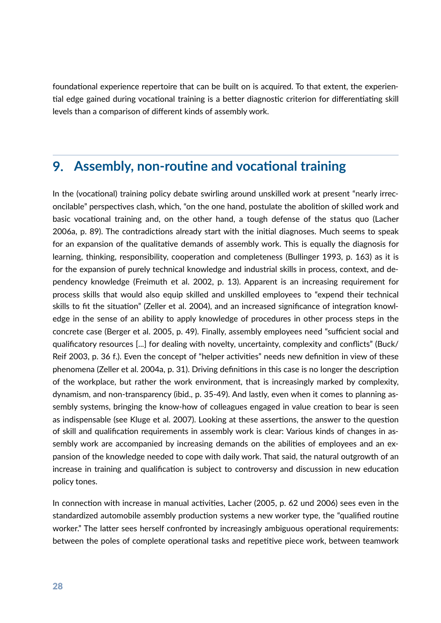foundational experience repertoire that can be built on is acquired. To that extent, the experiential edge gained during vocational training is a better diagnostic criterion for differentiating skill levels than a comparison of different kinds of assembly work.

### **9. Assembly, non-routine and vocational training**

In the (vocational) training policy debate swirling around unskilled work at present "nearly irreconcilable" perspectives clash, which, "on the one hand, postulate the abolition of skilled work and basic vocational training and, on the other hand, a tough defense of the status quo (Lacher 2006a, p. 89). The contradictions already start with the initial diagnoses. Much seems to speak for an expansion of the qualitative demands of assembly work. This is equally the diagnosis for learning, thinking, responsibility, cooperation and completeness (Bullinger 1993, p. 163) as it is for the expansion of purely technical knowledge and industrial skills in process, context, and dependency knowledge (Freimuth et al. 2002, p. 13). Apparent is an increasing requirement for process skills that would also equip skilled and unskilled employees to "expend their technical skills to fit the situation" (Zeller et al. 2004), and an increased significance of integration knowledge in the sense of an ability to apply knowledge of procedures in other process steps in the concrete case (Berger et al. 2005, p. 49). Finally, assembly employees need "sufficient social and qualificatory resources [...] for dealing with novelty, uncertainty, complexity and conflicts" (Buck/ Reif 2003, p. 36 f.). Even the concept of "helper activities" needs new definition in view of these phenomena (Zeller et al. 2004a, p. 31). Driving definitions in this case is no longer the description of the workplace, but rather the work environment, that is increasingly marked by complexity, dynamism, and non-transparency (ibid., p. 35-49). And lastly, even when it comes to planning assembly systems, bringing the know-how of colleagues engaged in value creation to bear is seen as indispensable (see Kluge et al. 2007). Looking at these assertions, the answer to the question of skill and qualification requirements in assembly work is clear: Various kinds of changes in assembly work are accompanied by increasing demands on the abilities of employees and an expansion of the knowledge needed to cope with daily work. That said, the natural outgrowth of an increase in training and qualification is subject to controversy and discussion in new education policy tones.

In connection with increase in manual activities, Lacher (2005, p. 62 und 2006) sees even in the standardized automobile assembly production systems a new worker type, the "qualified routine worker." The latter sees herself confronted by increasingly ambiguous operational requirements: between the poles of complete operational tasks and repetitive piece work, between teamwork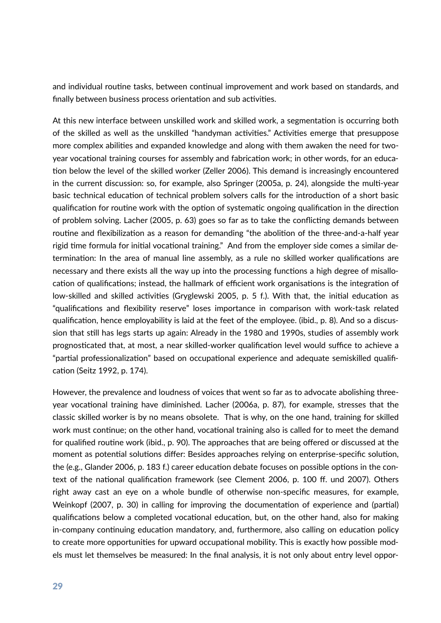and individual routine tasks, between continual improvement and work based on standards, and finally between business process orientation and sub activities.

At this new interface between unskilled work and skilled work, a segmentation is occurring both of the skilled as well as the unskilled "handyman activities." Activities emerge that presuppose more complex abilities and expanded knowledge and along with them awaken the need for twoyear vocational training courses for assembly and fabrication work; in other words, for an education below the level of the skilled worker (Zeller 2006). This demand is increasingly encountered in the current discussion: so, for example, also Springer (2005a, p. 24), alongside the multi-year basic technical education of technical problem solvers calls for the introduction of a short basic qualification for routine work with the option of systematic ongoing qualification in the direction of problem solving. Lacher (2005, p. 63) goes so far as to take the conflicting demands between routine and flexibilization as a reason for demanding "the abolition of the three-and-a-half year rigid time formula for initial vocational training." And from the employer side comes a similar determination: In the area of manual line assembly, as a rule no skilled worker qualifications are necessary and there exists all the way up into the processing functions a high degree of misallocation of qualifications; instead, the hallmark of efficient work organisations is the integration of low-skilled and skilled activities (Gryglewski 2005, p. 5 f.). With that, the initial education as "qualifications and flexibility reserve" loses importance in comparison with work-task related qualification, hence employability is laid at the feet of the employee. (ibid., p. 8). And so a discussion that still has legs starts up again: Already in the 1980 and 1990s, studies of assembly work prognosticated that, at most, a near skilled-worker qualification level would suffice to achieve a "partial professionalization" based on occupational experience and adequate semiskilled qualification (Seitz 1992, p. 174).

However, the prevalence and loudness of voices that went so far as to advocate abolishing threeyear vocational training have diminished. Lacher (2006a, p. 87), for example, stresses that the classic skilled worker is by no means obsolete. That is why, on the one hand, training for skilled work must continue; on the other hand, vocational training also is called for to meet the demand for qualified routine work (ibid., p. 90). The approaches that are being offered or discussed at the moment as potential solutions differ: Besides approaches relying on enterprise-specific solution, the (e.g., Glander 2006, p. 183 f.) career education debate focuses on possible options in the context of the national qualification framework (see Clement 2006, p. 100 ff. und 2007). Others right away cast an eye on a whole bundle of otherwise non-specific measures, for example, Weinkopf (2007, p. 30) in calling for improving the documentation of experience and (partial) qualifications below a completed vocational education, but, on the other hand, also for making in-company continuing education mandatory, and, furthermore, also calling on education policy to create more opportunities for upward occupational mobility. This is exactly how possible models must let themselves be measured: In the final analysis, it is not only about entry level oppor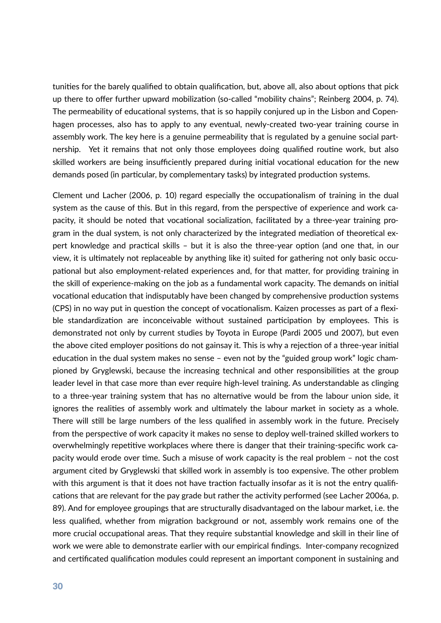tunities for the barely qualified to obtain qualification, but, above all, also about options that pick up there to offer further upward mobilization (so-called "mobility chains"; Reinberg 2004, p. 74). The permeability of educational systems, that is so happily conjured up in the Lisbon and Copenhagen processes, also has to apply to any eventual, newly-created two-year training course in assembly work. The key here is a genuine permeability that is regulated by a genuine social partnership. Yet it remains that not only those employees doing qualified routine work, but also skilled workers are being insufficiently prepared during initial vocational education for the new demands posed (in particular, by complementary tasks) by integrated production systems.

Clement und Lacher (2006, p. 10) regard especially the occupationalism of training in the dual system as the cause of this. But in this regard, from the perspective of experience and work capacity, it should be noted that vocational socialization, facilitated by a three-year training program in the dual system, is not only characterized by the integrated mediation of theoretical expert knowledge and practical skills – but it is also the three-year option (and one that, in our view, it is ultimately not replaceable by anything like it) suited for gathering not only basic occupational but also employment-related experiences and, for that matter, for providing training in the skill of experience-making on the job as a fundamental work capacity. The demands on initial vocational education that indisputably have been changed by comprehensive production systems (CPS) in no way put in question the concept of vocationalism. Kaizen processes as part of a flexible standardization are inconceivable without sustained participation by employees. This is demonstrated not only by current studies by Toyota in Europe (Pardi 2005 und 2007), but even the above cited employer positions do not gainsay it. This is why a rejection of a three-year initial education in the dual system makes no sense – even not by the "guided group work" logic championed by Gryglewski, because the increasing technical and other responsibilities at the group leader level in that case more than ever require high-level training. As understandable as clinging to a three-year training system that has no alternative would be from the labour union side, it ignores the realities of assembly work and ultimately the labour market in society as a whole. There will still be large numbers of the less qualified in assembly work in the future. Precisely from the perspective of work capacity it makes no sense to deploy well-trained skilled workers to overwhelmingly repetitive workplaces where there is danger that their training-specific work capacity would erode over time. Such a misuse of work capacity is the real problem – not the cost argument cited by Gryglewski that skilled work in assembly is too expensive. The other problem with this argument is that it does not have traction factually insofar as it is not the entry qualifications that are relevant for the pay grade but rather the activity performed (see Lacher 2006a, p. 89). And for employee groupings that are structurally disadvantaged on the labour market, i.e. the less qualified, whether from migration background or not, assembly work remains one of the more crucial occupational areas. That they require substantial knowledge and skill in their line of work we were able to demonstrate earlier with our empirical findings. Inter-company recognized and certificated qualification modules could represent an important component in sustaining and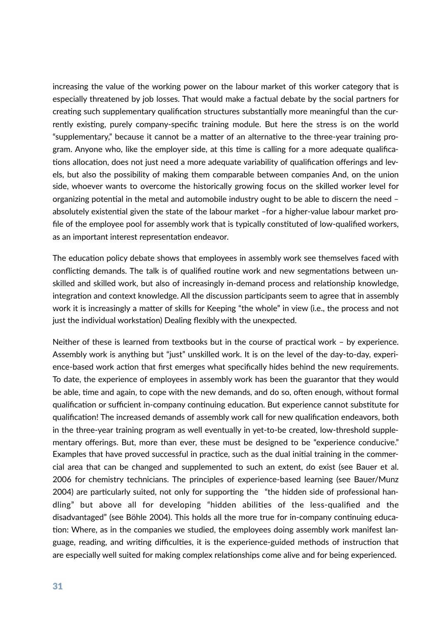increasing the value of the working power on the labour market of this worker category that is especially threatened by job losses. That would make a factual debate by the social partners for creating such supplementary qualification structures substantially more meaningful than the currently existing, purely company-specific training module. But here the stress is on the world "supplementary," because it cannot be a matter of an alternative to the three-year training program. Anyone who, like the employer side, at this time is calling for a more adequate qualifications allocation, does not just need a more adequate variability of qualification offerings and levels, but also the possibility of making them comparable between companies And, on the union side, whoever wants to overcome the historically growing focus on the skilled worker level for organizing potential in the metal and automobile industry ought to be able to discern the need  $$ absolutely existential given the state of the labour market -for a higher-value labour market profile of the employee pool for assembly work that is typically constituted of low-qualified workers, as an important interest representation endeavor.

The education policy debate shows that employees in assembly work see themselves faced with conflicting demands. The talk is of qualified routine work and new segmentations between unskilled and skilled work, but also of increasingly in-demand process and relationship knowledge, integration and context knowledge. All the discussion participants seem to agree that in assembly work it is increasingly a matter of skills for Keeping "the whole" in view (i.e., the process and not just the individual workstation) Dealing flexibly with the unexpected.

Neither of these is learned from textbooks but in the course of practical work  $-$  by experience. Assembly work is anything but "just" unskilled work. It is on the level of the day-to-day, experience-based work action that first emerges what specifically hides behind the new requirements. To date, the experience of employees in assembly work has been the guarantor that they would be able, time and again, to cope with the new demands, and do so, often enough, without formal qualification or sufficient in-company continuing education. But experience cannot substitute for qualification! The increased demands of assembly work call for new qualification endeavors, both in the three-year training program as well eventually in yet-to-be created, low-threshold supplementary offerings. But, more than ever, these must be designed to be "experience conducive." Examples that have proved successful in practice, such as the dual initial training in the commercial area that can be changed and supplemented to such an extent, do exist (see Bauer et al. 2006 for chemistry technicians. The principles of experience-based learning (see Bauer/Munz 2004) are particularly suited, not only for supporting the "the hidden side of professional handling" but above all for developing "hidden abilities of the less-qualified and the disadvantaged" (see Böhle 2004). This holds all the more true for in-company continuing education: Where, as in the companies we studied, the employees doing assembly work manifest language, reading, and writing difficulties, it is the experience-guided methods of instruction that are especially well suited for making complex relationships come alive and for being experienced.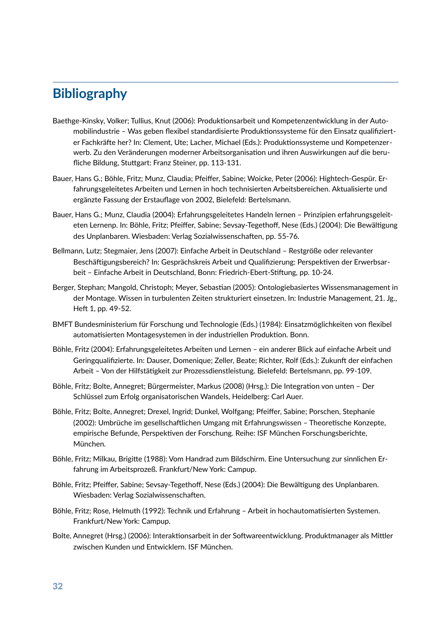## **Bibliography**

- Baethge-Kinsky, Volker; Tullius, Knut (2006): Produktionsarbeit und Kompetenzentwicklung in der Automobilindustrie – Was geben flexibel standardisierte Produktionssysteme für den Einsatz qualifizierter Fachkräfte her? In: Clement, Ute; Lacher, Michael (Eds.): Produktionssysteme und Kompetenzerwerb. Zu den Veränderungen moderner Arbeitsorganisation und ihren Auswirkungen auf die berufliche Bildung, Stuttgart: Franz Steiner, pp. 113-131.
- Bauer, Hans G.; Böhle, Fritz; Munz, Claudia; Pfeiffer, Sabine; Woicke, Peter (2006): Hightech-Gespür. Erfahrungsgeleitetes Arbeiten und Lernen in hoch technisierten Arbeitsbereichen. Aktualisierte und ergänzte Fassung der Erstauflage von 2002, Bielefeld: Bertelsmann.
- Bauer, Hans G.; Munz, Claudia (2004): Erfahrungsgeleitetes Handeln lernen Prinzipien erfahrungsgeleiteten Lernenp. In: Böhle, Fritz; Pfeiffer, Sabine; Sevsay-Tegethoff, Nese (Eds.) (2004): Die Bewältigung des Unplanbaren. Wiesbaden: Verlag Sozialwissenschaften, pp. 55-76.
- Bellmann, Lutz; Stegmaier, Jens (2007): Einfache Arbeit in Deutschland Restgröße oder relevanter Beschäftigungsbereich? In: Gesprächskreis Arbeit und Qualifizierung: Perspektiven der Erwerbsarbeit - Einfache Arbeit in Deutschland, Bonn: Friedrich-Ebert-Stiftung, pp. 10-24.
- Berger, Stephan; Mangold, Christoph; Meyer, Sebastian (2005): Ontologiebasiertes Wissensmanagement in der Montage. Wissen in turbulenten Zeiten strukturiert einsetzen. In: Industrie Management, 21. Jg., Heft 1, pp. 49-52.
- BMFT Bundesministerium für Forschung und Technologie (Eds.) (1984): Einsatzmöglichkeiten von flexibel automatisierten Montagesystemen in der industriellen Produktion. Bonn.
- Böhle, Fritz (2004): Erfahrungsgeleitetes Arbeiten und Lernen ein anderer Blick auf einfache Arbeit und Geringqualifizierte. In: Dauser, Domenique; Zeller, Beate; Richter, Rolf (Eds.): Zukunft der einfachen Arbeit - Von der Hilfstätigkeit zur Prozessdienstleistung. Bielefeld: Bertelsmann, pp. 99-109.
- Böhle, Fritz; Bolte, Annegret; Bürgermeister, Markus (2008) (Hrsg.): Die Integration von unten Der Schlüssel zum Erfolg organisatorischen Wandels, Heidelberg: Carl Auer.
- Böhle, Fritz; Bolte, Annegret; Drexel, Ingrid; Dunkel, Wolfgang; Pfeiffer, Sabine; Porschen, Stephanie (2002): Umbrüche im gesellschaftlichen Umgang mit Erfahrungswissen – Theoretische Konzepte, empirische Befunde, Perspektiven der Forschung. Reihe: ISF München Forschungsberichte, München.
- Böhle, Fritz; Milkau, Brigitte (1988): Vom Handrad zum Bildschirm. Eine Untersuchung zur sinnlichen Erfahrung im Arbeitsprozeß. Frankfurt/New York: Campup.
- Böhle, Fritz; Pfeiffer, Sabine; Sevsay-Tegethoff, Nese (Eds.) (2004): Die Bewältigung des Unplanbaren. Wiesbaden: Verlag Sozialwissenschaften.
- Böhle, Fritz; Rose, Helmuth (1992): Technik und Erfahrung Arbeit in hochautomatisierten Systemen. Frankfurt/New York: Campup.
- Bolte, Annegret (Hrsg.) (2006): Interaktionsarbeit in der Softwareentwicklung. Produktmanager als Mittler zwischen Kunden und Entwicklern. ISF München.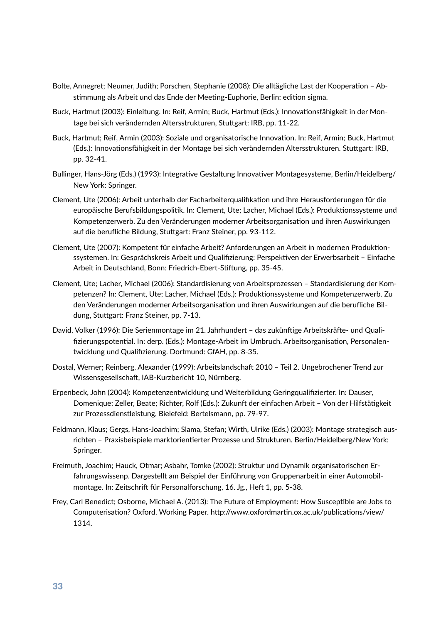- Bolte, Annegret; Neumer, Judith; Porschen, Stephanie (2008): Die alltägliche Last der Kooperation Abstimmung als Arbeit und das Ende der Meeting-Euphorie, Berlin: edition sigma.
- Buck, Hartmut (2003): Einleitung. In: Reif, Armin; Buck, Hartmut (Eds.): Innovationsfähigkeit in der Montage bei sich verändernden Altersstrukturen, Stuttgart: IRB, pp. 11-22.
- Buck, Hartmut; Reif, Armin (2003): Soziale und organisatorische Innovation. In: Reif, Armin; Buck, Hartmut (Eds.): Innovationsfähigkeit in der Montage bei sich verändernden Altersstrukturen. Stuttgart: IRB, pp. 32-41.
- Bullinger, Hans-Jörg (Eds.) (1993): Integrative Gestaltung Innovativer Montagesysteme, Berlin/Heidelberg/ New York: Springer.
- Clement, Ute (2006): Arbeit unterhalb der Facharbeiterqualifikation und ihre Herausforderungen für die europäische Berufsbildungspolitik. In: Clement, Ute; Lacher, Michael (Eds.): Produktionssysteme und Kompetenzerwerb. Zu den Veränderungen moderner Arbeitsorganisation und ihren Auswirkungen auf die berufliche Bildung, Stuttgart: Franz Steiner, pp. 93-112.
- Clement, Ute (2007): Kompetent für einfache Arbeit? Anforderungen an Arbeit in modernen Produktionssystemen. In: Gesprächskreis Arbeit und Qualifizierung: Perspektiven der Erwerbsarbeit – Einfache Arbeit in Deutschland, Bonn: Friedrich-Ebert-Stiftung, pp. 35-45.
- Clement, Ute; Lacher, Michael (2006): Standardisierung von Arbeitsprozessen Standardisierung der Kompetenzen? In: Clement, Ute; Lacher, Michael (Eds.): Produktionssysteme und Kompetenzerwerb. Zu den Veränderungen moderner Arbeitsorganisation und ihren Auswirkungen auf die berufliche Bildung, Stuttgart: Franz Steiner, pp. 7-13.
- David, Volker (1996): Die Serienmontage im 21. Jahrhundert das zukünftige Arbeitskräfte- und Qualifizierungspotential. In: derp. (Eds.): Montage-Arbeit im Umbruch. Arbeitsorganisation, Personalentwicklung und Qualifizierung. Dortmund: GfAH, pp. 8-35.
- Dostal, Werner; Reinberg, Alexander (1999): Arbeitslandschaft 2010 Teil 2. Ungebrochener Trend zur Wissensgesellschaft, IAB-Kurzbericht 10, Nürnberg.
- Erpenbeck, John (2004): Kompetenzentwicklung und Weiterbildung Geringqualifizierter. In: Dauser, Domenique; Zeller, Beate; Richter, Rolf (Eds.): Zukunft der einfachen Arbeit - Von der Hilfstätigkeit zur Prozessdienstleistung, Bielefeld: Bertelsmann, pp. 79-97.
- Feldmann, Klaus; Gergs, Hans-Joachim; Slama, Stefan; Wirth, Ulrike (Eds.) (2003): Montage strategisch ausrichten - Praxisbeispiele marktorientierter Prozesse und Strukturen. Berlin/Heidelberg/New York: Springer.
- Freimuth, Joachim; Hauck, Otmar; Asbahr, Tomke (2002): Struktur und Dynamik organisatorischen Erfahrungswissenp. Dargestellt am Beispiel der Einführung von Gruppenarbeit in einer Automobilmontage. In: Zeitschrift für Personalforschung, 16. Jg., Heft 1, pp. 5-38.
- Frey, Carl Benedict; Osborne, Michael A. (2013): The Future of Employment: How Susceptible are Jobs to Computerisation? Oxford. Working Paper. http://www.oxfordmartin.ox.ac.uk/publications/view/ 1314.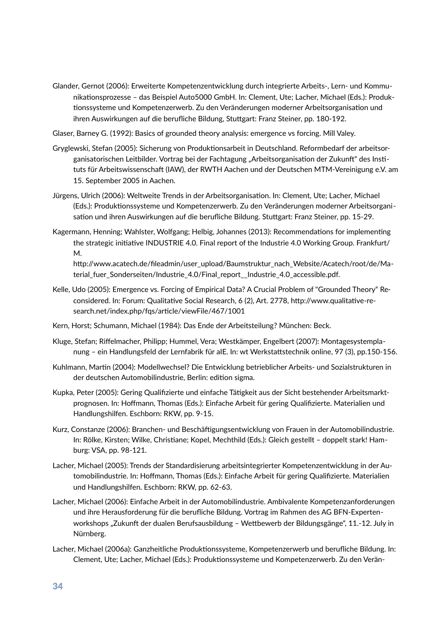- Glander, Gernot (2006): Erweiterte Kompetenzentwicklung durch integrierte Arbeits-, Lern- und Kommunikationsprozesse – das Beispiel Auto5000 GmbH. In: Clement, Ute; Lacher, Michael (Eds.): Produktionssysteme und Kompetenzerwerb. Zu den Veränderungen moderner Arbeitsorganisation und ihren Auswirkungen auf die berufliche Bildung, Stupgart: Franz Steiner, pp. 180-192.
- Glaser, Barney G. (1992): Basics of grounded theory analysis: emergence vs forcing. Mill Valey.
- Gryglewski, Stefan (2005): Sicherung von Produktionsarbeit in Deutschland. Reformbedarf der arbeitsorganisatorischen Leitbilder. Vortrag bei der Fachtagung "Arbeitsorganisation der Zukunft" des Instituts für Arbeitswissenschaft (IAW), der RWTH Aachen und der Deutschen MTM-Vereinigung e.V. am 15. September 2005 in Aachen.
- Jürgens, Ulrich (2006): Weltweite Trends in der Arbeitsorganisation. In: Clement, Ute; Lacher, Michael (Eds.): Produktionssysteme und Kompetenzerwerb. Zu den Veränderungen moderner Arbeitsorganisation und ihren Auswirkungen auf die berufliche Bildung. Stuttgart: Franz Steiner, pp. 15-29.
- Kagermann, Henning; Wahlster, Wolfgang; Helbig, Johannes (2013): Recommendations for implementing the strategic initiative INDUSTRIE 4.0. Final report of the Industrie 4.0 Working Group. Frankfurt/ M.

http://www.acatech.de/fileadmin/user\_upload/Baumstruktur\_nach\_Website/Acatech/root/de/Material\_fuer\_Sonderseiten/Industrie\_4.0/Final\_report\_\_Industrie\_4.0\_accessible.pdf.

- Kelle, Udo (2005): Emergence vs. Forcing of Empirical Data? A Crucial Problem of "Grounded Theory" Reconsidered. In: Forum: Qualitative Social Research, 6 (2), Art. 2778, http://www.qualitative-research.net/index.php/fqs/article/viewFile/467/1001
- Kern, Horst; Schumann, Michael (1984): Das Ende der Arbeitsteilung? München: Beck.
- Kluge, Stefan; Riffelmacher, Philipp; Hummel, Vera; Westkämper, Engelbert (2007): Montagesystemplanung - ein Handlungsfeld der Lernfabrik für alE. In: wt Werkstattstechnik online, 97 (3), pp.150-156.
- Kuhlmann, Martin (2004): Modellwechsel? Die Entwicklung betrieblicher Arbeits- und Sozialstrukturen in der deutschen Automobilindustrie, Berlin: edition sigma.
- Kupka, Peter (2005): Gering Qualifizierte und einfache Tätigkeit aus der Sicht bestehender Arbeitsmarktprognosen. In: Hoffmann, Thomas (Eds.): Einfache Arbeit für gering Qualifizierte. Materialien und Handlungshilfen. Eschborn: RKW, pp. 9-15.
- Kurz, Constanze (2006): Branchen- und Beschäftigungsentwicklung von Frauen in der Automobilindustrie. In: Rölke, Kirsten; Wilke, Christiane; Kopel, Mechthild (Eds.): Gleich gestellt - doppelt stark! Hamburg: VSA, pp. 98-121.
- Lacher, Michael (2005): Trends der Standardisierung arbeitsintegrierter Kompetenzentwicklung in der Automobilindustrie. In: Hoffmann, Thomas (Eds.): Einfache Arbeit für gering Qualifizierte. Materialien und Handlungshilfen. Eschborn: RKW, pp. 62-63.
- Lacher, Michael (2006): Einfache Arbeit in der Automobilindustrie. Ambivalente Kompetenzanforderungen und ihre Herausforderung für die berufliche Bildung. Vortrag im Rahmen des AG BFN-Expertenworkshops "Zukunft der dualen Berufsausbildung – Wettbewerb der Bildungsgänge", 11.-12. July in Nürnberg.
- Lacher, Michael (2006a): Ganzheitliche Produktionssysteme, Kompetenzerwerb und berufliche Bildung. In: Clement, Ute; Lacher, Michael (Eds.): Produktionssysteme und Kompetenzerwerb. Zu den Verän-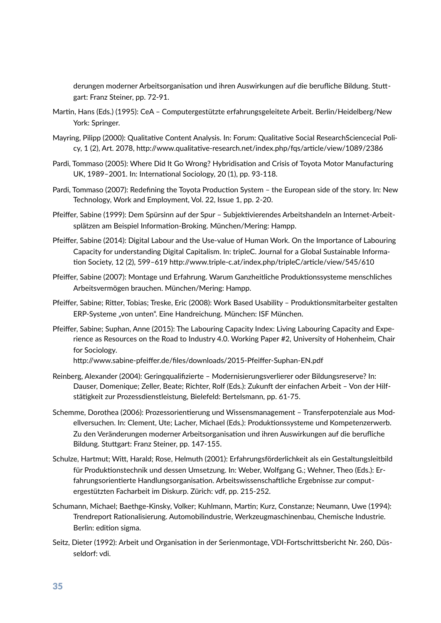derungen moderner Arbeitsorganisation und ihren Auswirkungen auf die berufliche Bildung. Stuttgart: Franz Steiner, pp. 72-91.

- Martin, Hans (Eds.) (1995): CeA Computergestützte erfahrungsgeleitete Arbeit. Berlin/Heidelberg/New York: Springer.
- Mayring, Pilipp (2000): Qualitative Content Analysis. In: Forum: Qualitative Social ResearchSciencecial Policy, 1 (2), Art. 2078, http://www.qualitative-research.net/index.php/fqs/article/view/1089/2386
- Pardi, Tommaso (2005): Where Did It Go Wrong? Hybridisation and Crisis of Toyota Motor Manufacturing UK, 1989-2001. In: International Sociology, 20 (1), pp. 93-118.
- Pardi, Tommaso (2007): Redefining the Toyota Production System the European side of the story. In: New Technology, Work and Employment, Vol. 22, Issue 1, pp. 2-20.
- Pfeiffer, Sabine (1999): Dem Spürsinn auf der Spur Subjektivierendes Arbeitshandeln an Internet-Arbeitsplätzen am Beispiel Information-Broking. München/Mering: Hampp.
- Pfeiffer, Sabine (2014): Digital Labour and the Use-value of Human Work. On the Importance of Labouring Capacity for understanding Digital Capitalism. In: tripleC. Journal for a Global Sustainable Informa tion Society, 12 (2), 599-619 http://www.triple-c.at/index.php/tripleC/article/view/545/610
- Pfeiffer, Sabine (2007): Montage und Erfahrung. Warum Ganzheitliche Produktionssysteme menschliches Arbeitsvermögen brauchen. München/Mering: Hampp.
- Pfeiffer, Sabine; Ritter, Tobias; Treske, Eric (2008): Work Based Usability Produktionsmitarbeiter gestalten ERP-Systeme "von unten". Eine Handreichung. München: ISF München.
- Pfeiffer, Sabine; Suphan, Anne (2015): The Labouring Capacity Index: Living Labouring Capacity and Experience as Resources on the Road to Industry 4.0. Working Paper #2, University of Hohenheim, Chair for Sociology.

http://www.sabine-pfeiffer.de/files/downloads/2015-Pfeiffer-Suphan-EN.pdf

- Reinberg, Alexander (2004): Geringqualifizierte Modernisierungsverlierer oder Bildungsreserve? In: Dauser, Domenique; Zeller, Beate; Richter, Rolf (Eds.); Zukunft der einfachen Arbeit – Von der Hilfstätigkeit zur Prozessdienstleistung, Bielefeld: Bertelsmann, pp. 61-75.
- Schemme, Dorothea (2006): Prozessorientierung und Wissensmanagement Transferpotenziale aus Modellversuchen. In: Clement, Ute; Lacher, Michael (Eds.): Produktionssysteme und Kompetenzerwerb. Zu den Veränderungen moderner Arbeitsorganisation und ihren Auswirkungen auf die berufliche Bildung. Stuttgart: Franz Steiner, pp. 147-155.
- Schulze, Hartmut; Witt, Harald; Rose, Helmuth (2001): Erfahrungsförderlichkeit als ein Gestaltungsleitbild für Produktionstechnik und dessen Umsetzung. In: Weber, Wolfgang G.; Wehner, Theo (Eds.): Erfahrungsorientierte Handlungsorganisation. Arbeitswissenschaftliche Ergebnisse zur computergestützten Facharbeit im Diskurp. Zürich: vdf, pp. 215-252.
- Schumann, Michael; Baethge-Kinsky, Volker; Kuhlmann, Martin; Kurz, Constanze; Neumann, Uwe (1994): Trendreport Rationalisierung. Automobilindustrie, Werkzeugmaschinenbau, Chemische Industrie. Berlin: edition sigma.
- Seitz, Dieter (1992): Arbeit und Organisation in der Serienmontage, VDI-Fortschrittsbericht Nr. 260, Düsseldorf: vdi.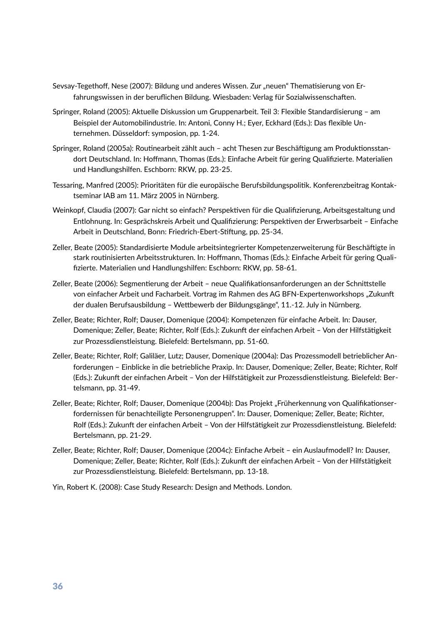- Sevsay-Tegethoff, Nese (2007): Bildung und anderes Wissen. Zur "neuen" Thematisierung von Erfahrungswissen in der beruflichen Bildung. Wiesbaden: Verlag für Sozialwissenschaften.
- Springer, Roland (2005): Aktuelle Diskussion um Gruppenarbeit. Teil 3: Flexible Standardisierung am Beispiel der Automobilindustrie. In: Antoni, Conny H.; Eyer, Eckhard (Eds.): Das flexible Unternehmen. Düsseldorf: symposion, pp. 1-24.
- Springer, Roland (2005a): Routinearbeit zählt auch acht Thesen zur Beschäftigung am Produktionsstandort Deutschland. In: Hoffmann, Thomas (Eds.): Einfache Arbeit für gering Qualifizierte. Materialien und Handlungshilfen. Eschborn: RKW, pp. 23-25.
- Tessaring, Manfred (2005): Prioritäten für die europäische Berufsbildungspolitik. Konferenzbeitrag Kontaktseminar IAB am 11. März 2005 in Nürnberg.
- Weinkopf, Claudia (2007): Gar nicht so einfach? Perspektiven für die Qualifizierung, Arbeitsgestaltung und Entlohnung. In: Gesprächskreis Arbeit und Qualifizierung: Perspektiven der Erwerbsarbeit - Einfache Arbeit in Deutschland, Bonn: Friedrich-Ebert-Stiftung, pp. 25-34.
- Zeller, Beate (2005): Standardisierte Module arbeitsintegrierter Kompetenzerweiterung für Beschäftigte in stark routinisierten Arbeitsstrukturen. In: Hoffmann, Thomas (Eds.): Einfache Arbeit für gering Qualifizierte. Materialien und Handlungshilfen: Eschborn: RKW, pp. 58-61.
- Zeller, Beate (2006): Segmentierung der Arbeit neue Qualifikationsanforderungen an der Schnittstelle von einfacher Arbeit und Facharbeit. Vortrag im Rahmen des AG BFN-Expertenworkshops "Zukunft der dualen Berufsausbildung – Wettbewerb der Bildungsgänge", 11.-12. July in Nürnberg.
- Zeller, Beate; Richter, Rolf; Dauser, Domenique (2004): Kompetenzen für einfache Arbeit. In: Dauser, Domenique; Zeller, Beate; Richter, Rolf (Eds.): Zukunft der einfachen Arbeit - Von der Hilfstätigkeit zur Prozessdienstleistung. Bielefeld: Bertelsmann, pp. 51-60.
- Zeller, Beate; Richter, Rolf; Galiläer, Lutz; Dauser, Domenique (2004a): Das Prozessmodell betrieblicher Anforderungen – Einblicke in die betriebliche Praxip. In: Dauser, Domenique; Zeller, Beate; Richter, Rolf (Eds.): Zukunft der einfachen Arbeit – Von der Hilfstätigkeit zur Prozessdienstleistung. Bielefeld: Bertelsmann, pp. 31-49.
- Zeller, Beate; Richter, Rolf; Dauser, Domenique (2004b): Das Projekt "Früherkennung von Qualifikationserfordernissen für benachteiligte Personengruppen". In: Dauser, Domenique; Zeller, Beate; Richter, Rolf (Eds.): Zukunft der einfachen Arbeit - Von der Hilfstätigkeit zur Prozessdienstleistung. Bielefeld: Bertelsmann, pp. 21-29.
- Zeller, Beate; Richter, Rolf; Dauser, Domenique (2004c): Einfache Arbeit ein Auslaufmodell? In: Dauser, Domenique; Zeller, Beate; Richter, Rolf (Eds.): Zukunft der einfachen Arbeit - Von der Hilfstätigkeit zur Prozessdienstleistung. Bielefeld: Bertelsmann, pp. 13-18.

Yin, Robert K. (2008): Case Study Research: Design and Methods. London.